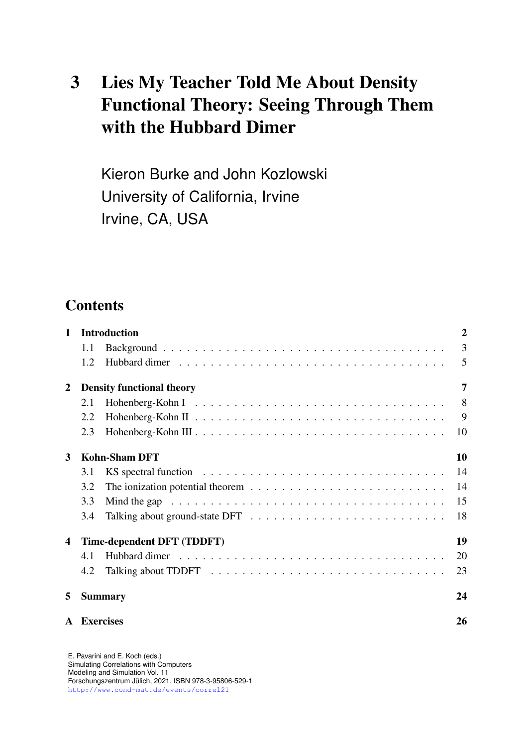# 3 Lies My Teacher Told Me About Density Functional Theory: Seeing Through Them with the Hubbard Dimer

Kieron Burke and John Kozlowski University of California, Irvine Irvine, CA, USA

# **Contents**

| $\mathbf{1}$     | <b>Introduction</b>                   |  |    |
|------------------|---------------------------------------|--|----|
|                  | 1.1                                   |  | 3  |
|                  | 1.2                                   |  | 5  |
| $\boldsymbol{2}$ | 7<br><b>Density functional theory</b> |  |    |
|                  | 2.1                                   |  | 8  |
|                  | 2.2                                   |  | 9  |
|                  | 2.3                                   |  | 10 |
| 3                | <b>Kohn-Sham DFT</b><br>10            |  |    |
|                  | 3.1                                   |  | 14 |
|                  | 3.2                                   |  | 14 |
|                  | 3.3                                   |  | 15 |
|                  | 3.4                                   |  | 18 |
| 4                | Time-dependent DFT (TDDFT)            |  |    |
|                  | 4.1                                   |  | 20 |
|                  | 4.2                                   |  | 23 |
| 5                | <b>Summary</b>                        |  | 24 |
| $\mathbf{A}$     | <b>Exercises</b>                      |  | 26 |

E. Pavarini and E. Koch (eds.) Simulating Correlations with Computers Modeling and Simulation Vol. 11 Forschungszentrum Julich, 2021, ISBN 978-3-95806-529-1 ¨ <http://www.cond-mat.de/events/correl21>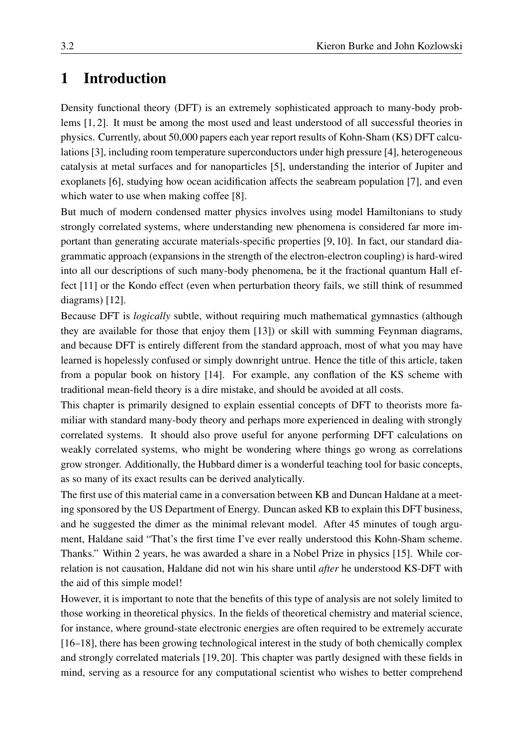# <span id="page-1-0"></span>1 Introduction

Density functional theory (DFT) is an extremely sophisticated approach to many-body problems [\[1,](#page-26-0) [2\]](#page-26-1). It must be among the most used and least understood of all successful theories in physics. Currently, about 50,000 papers each year report results of Kohn-Sham (KS) DFT calculations [\[3\]](#page-26-2), including room temperature superconductors under high pressure [\[4\]](#page-26-3), heterogeneous catalysis at metal surfaces and for nanoparticles [\[5\]](#page-26-4), understanding the interior of Jupiter and exoplanets [\[6\]](#page-26-5), studying how ocean acidification affects the seabream population [\[7\]](#page-26-6), and even which water to use when making coffee [\[8\]](#page-26-7).

But much of modern condensed matter physics involves using model Hamiltonians to study strongly correlated systems, where understanding new phenomena is considered far more important than generating accurate materials-specific properties [\[9,](#page-26-8) [10\]](#page-26-9). In fact, our standard diagrammatic approach (expansions in the strength of the electron-electron coupling) is hard-wired into all our descriptions of such many-body phenomena, be it the fractional quantum Hall effect [\[11\]](#page-26-10) or the Kondo effect (even when perturbation theory fails, we still think of resummed diagrams) [\[12\]](#page-26-11).

Because DFT is *logically* subtle, without requiring much mathematical gymnastics (although they are available for those that enjoy them [\[13\]](#page-26-12)) or skill with summing Feynman diagrams, and because DFT is entirely different from the standard approach, most of what you may have learned is hopelessly confused or simply downright untrue. Hence the title of this article, taken from a popular book on history [\[14\]](#page-26-13). For example, any conflation of the KS scheme with traditional mean-field theory is a dire mistake, and should be avoided at all costs.

This chapter is primarily designed to explain essential concepts of DFT to theorists more familiar with standard many-body theory and perhaps more experienced in dealing with strongly correlated systems. It should also prove useful for anyone performing DFT calculations on weakly correlated systems, who might be wondering where things go wrong as correlations grow stronger. Additionally, the Hubbard dimer is a wonderful teaching tool for basic concepts, as so many of its exact results can be derived analytically.

The first use of this material came in a conversation between KB and Duncan Haldane at a meeting sponsored by the US Department of Energy. Duncan asked KB to explain this DFT business, and he suggested the dimer as the minimal relevant model. After 45 minutes of tough argument, Haldane said "That's the first time I've ever really understood this Kohn-Sham scheme. Thanks." Within 2 years, he was awarded a share in a Nobel Prize in physics [\[15\]](#page-26-14). While correlation is not causation, Haldane did not win his share until *after* he understood KS-DFT with the aid of this simple model!

However, it is important to note that the benefits of this type of analysis are not solely limited to those working in theoretical physics. In the fields of theoretical chemistry and material science, for instance, where ground-state electronic energies are often required to be extremely accurate [\[16–](#page-26-15)[18\]](#page-26-16), there has been growing technological interest in the study of both chemically complex and strongly correlated materials [\[19,](#page-26-17) [20\]](#page-27-0). This chapter was partly designed with these fields in mind, serving as a resource for any computational scientist who wishes to better comprehend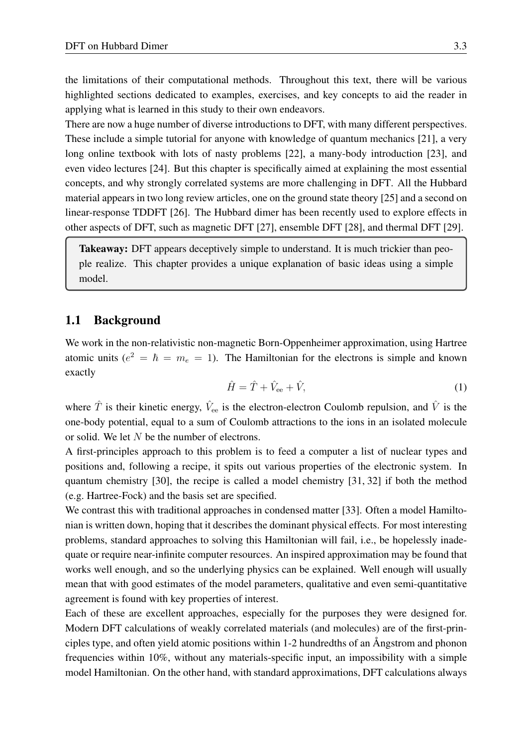the limitations of their computational methods. Throughout this text, there will be various highlighted sections dedicated to examples, exercises, and key concepts to aid the reader in applying what is learned in this study to their own endeavors.

There are now a huge number of diverse introductions to DFT, with many different perspectives. These include a simple tutorial for anyone with knowledge of quantum mechanics [\[21\]](#page-27-1), a very long online textbook with lots of nasty problems [\[22\]](#page-27-2), a many-body introduction [\[23\]](#page-27-3), and even video lectures [\[24\]](#page-27-4). But this chapter is specifically aimed at explaining the most essential concepts, and why strongly correlated systems are more challenging in DFT. All the Hubbard material appears in two long review articles, one on the ground state theory [\[25\]](#page-27-5) and a second on linear-response TDDFT [\[26\]](#page-27-6). The Hubbard dimer has been recently used to explore effects in other aspects of DFT, such as magnetic DFT [\[27\]](#page-27-7), ensemble DFT [\[28\]](#page-27-8), and thermal DFT [\[29\]](#page-27-9).

Takeaway: DFT appears deceptively simple to understand. It is much trickier than people realize. This chapter provides a unique explanation of basic ideas using a simple model.

#### <span id="page-2-0"></span>1.1 Background

We work in the non-relativistic non-magnetic Born-Oppenheimer approximation, using Hartree atomic units ( $e^2 = \hbar = m_e = 1$ ). The Hamiltonian for the electrons is simple and known exactly

<span id="page-2-1"></span>
$$
\hat{H} = \hat{T} + \hat{V}_{ee} + \hat{V},\tag{1}
$$

where  $\hat{T}$  is their kinetic energy,  $\hat{V}_{ee}$  is the electron-electron Coulomb repulsion, and  $\hat{V}$  is the one-body potential, equal to a sum of Coulomb attractions to the ions in an isolated molecule or solid. We let  $N$  be the number of electrons.

A first-principles approach to this problem is to feed a computer a list of nuclear types and positions and, following a recipe, it spits out various properties of the electronic system. In quantum chemistry [\[30\]](#page-27-10), the recipe is called a model chemistry [\[31,](#page-27-11) [32\]](#page-27-12) if both the method (e.g. Hartree-Fock) and the basis set are specified.

We contrast this with traditional approaches in condensed matter [\[33\]](#page-27-13). Often a model Hamiltonian is written down, hoping that it describes the dominant physical effects. For most interesting problems, standard approaches to solving this Hamiltonian will fail, i.e., be hopelessly inadequate or require near-infinite computer resources. An inspired approximation may be found that works well enough, and so the underlying physics can be explained. Well enough will usually mean that with good estimates of the model parameters, qualitative and even semi-quantitative agreement is found with key properties of interest.

Each of these are excellent approaches, especially for the purposes they were designed for. Modern DFT calculations of weakly correlated materials (and molecules) are of the first-principles type, and often yield atomic positions within 1-2 hundredths of an Angstrom and phonon frequencies within 10%, without any materials-specific input, an impossibility with a simple model Hamiltonian. On the other hand, with standard approximations, DFT calculations always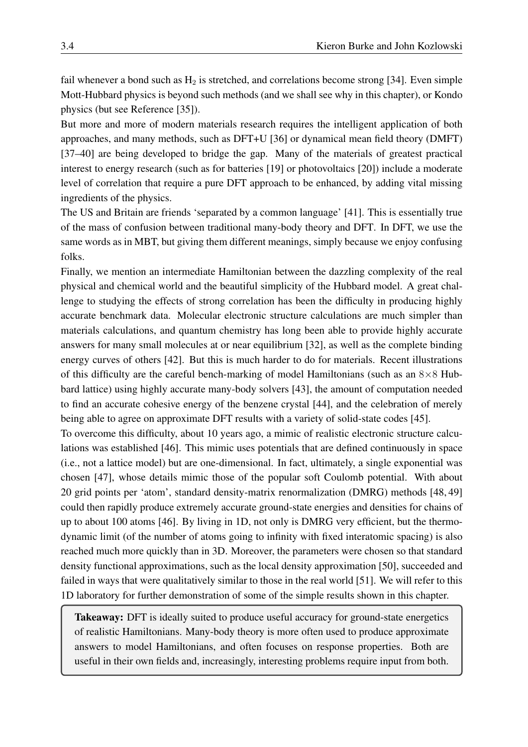fail whenever a bond such as  $H_2$  is stretched, and correlations become strong [\[34\]](#page-27-14). Even simple Mott-Hubbard physics is beyond such methods (and we shall see why in this chapter), or Kondo physics (but see Reference [\[35\]](#page-27-15)).

But more and more of modern materials research requires the intelligent application of both approaches, and many methods, such as DFT+U [\[36\]](#page-27-16) or dynamical mean field theory (DMFT) [\[37–](#page-27-17)[40\]](#page-27-18) are being developed to bridge the gap. Many of the materials of greatest practical interest to energy research (such as for batteries [\[19\]](#page-26-17) or photovoltaics [\[20\]](#page-27-0)) include a moderate level of correlation that require a pure DFT approach to be enhanced, by adding vital missing ingredients of the physics.

The US and Britain are friends 'separated by a common language' [\[41\]](#page-27-19). This is essentially true of the mass of confusion between traditional many-body theory and DFT. In DFT, we use the same words as in MBT, but giving them different meanings, simply because we enjoy confusing folks.

Finally, we mention an intermediate Hamiltonian between the dazzling complexity of the real physical and chemical world and the beautiful simplicity of the Hubbard model. A great challenge to studying the effects of strong correlation has been the difficulty in producing highly accurate benchmark data. Molecular electronic structure calculations are much simpler than materials calculations, and quantum chemistry has long been able to provide highly accurate answers for many small molecules at or near equilibrium [\[32\]](#page-27-12), as well as the complete binding energy curves of others [\[42\]](#page-28-0). But this is much harder to do for materials. Recent illustrations of this difficulty are the careful bench-marking of model Hamiltonians (such as an  $8\times 8$  Hubbard lattice) using highly accurate many-body solvers [\[43\]](#page-28-1), the amount of computation needed to find an accurate cohesive energy of the benzene crystal [\[44\]](#page-28-2), and the celebration of merely being able to agree on approximate DFT results with a variety of solid-state codes [\[45\]](#page-28-3).

To overcome this difficulty, about 10 years ago, a mimic of realistic electronic structure calculations was established [\[46\]](#page-28-4). This mimic uses potentials that are defined continuously in space (i.e., not a lattice model) but are one-dimensional. In fact, ultimately, a single exponential was chosen [\[47\]](#page-28-5), whose details mimic those of the popular soft Coulomb potential. With about 20 grid points per 'atom', standard density-matrix renormalization (DMRG) methods [\[48,](#page-28-6) [49\]](#page-28-7) could then rapidly produce extremely accurate ground-state energies and densities for chains of up to about 100 atoms [\[46\]](#page-28-4). By living in 1D, not only is DMRG very efficient, but the thermodynamic limit (of the number of atoms going to infinity with fixed interatomic spacing) is also reached much more quickly than in 3D. Moreover, the parameters were chosen so that standard density functional approximations, such as the local density approximation [\[50\]](#page-28-8), succeeded and failed in ways that were qualitatively similar to those in the real world [\[51\]](#page-28-9). We will refer to this 1D laboratory for further demonstration of some of the simple results shown in this chapter.

Takeaway: DFT is ideally suited to produce useful accuracy for ground-state energetics of realistic Hamiltonians. Many-body theory is more often used to produce approximate answers to model Hamiltonians, and often focuses on response properties. Both are useful in their own fields and, increasingly, interesting problems require input from both.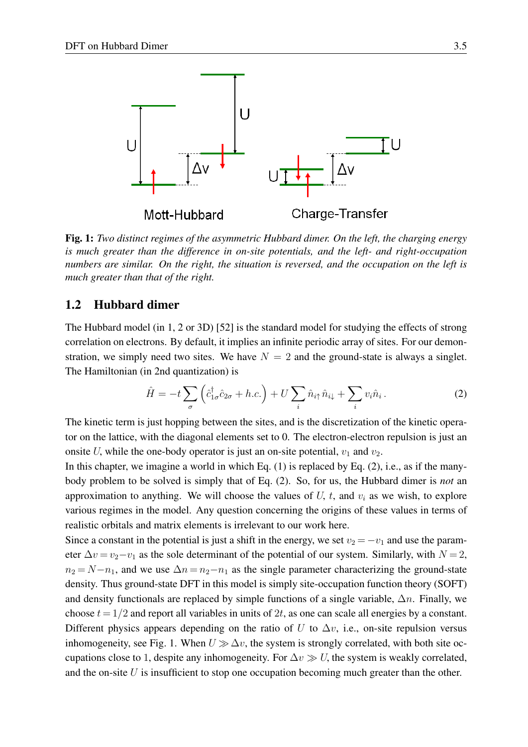

<span id="page-4-2"></span>Fig. 1: *Two distinct regimes of the asymmetric Hubbard dimer. On the left, the charging energy is much greater than the difference in on-site potentials, and the left- and right-occupation numbers are similar. On the right, the situation is reversed, and the occupation on the left is much greater than that of the right.*

#### <span id="page-4-0"></span>1.2 Hubbard dimer

The Hubbard model (in 1, 2 or 3D) [\[52\]](#page-28-10) is the standard model for studying the effects of strong correlation on electrons. By default, it implies an infinite periodic array of sites. For our demonstration, we simply need two sites. We have  $N = 2$  and the ground-state is always a singlet. The Hamiltonian (in 2nd quantization) is

<span id="page-4-1"></span>
$$
\hat{H} = -t\sum_{\sigma} \left(\hat{c}_{1\sigma}^{\dagger} \hat{c}_{2\sigma} + h.c.\right) + U\sum_{i} \hat{n}_{i\uparrow} \hat{n}_{i\downarrow} + \sum_{i} v_{i} \hat{n}_{i}.
$$
 (2)

The kinetic term is just hopping between the sites, and is the discretization of the kinetic operator on the lattice, with the diagonal elements set to 0. The electron-electron repulsion is just an onsite U, while the one-body operator is just an on-site potential,  $v_1$  and  $v_2$ .

In this chapter, we imagine a world in which Eq.  $(1)$  is replaced by Eq.  $(2)$ , i.e., as if the manybody problem to be solved is simply that of Eq. [\(2\)](#page-4-1). So, for us, the Hubbard dimer is *not* an approximation to anything. We will choose the values of  $U$ ,  $t$ , and  $v_i$  as we wish, to explore various regimes in the model. Any question concerning the origins of these values in terms of realistic orbitals and matrix elements is irrelevant to our work here.

Since a constant in the potential is just a shift in the energy, we set  $v_2 = -v_1$  and use the parameter  $\Delta v = v_2 - v_1$  as the sole determinant of the potential of our system. Similarly, with  $N = 2$ ,  $n_2 = N-n_1$ , and we use  $\Delta n = n_2-n_1$  as the single parameter characterizing the ground-state density. Thus ground-state DFT in this model is simply site-occupation function theory (SOFT) and density functionals are replaced by simple functions of a single variable,  $\Delta n$ . Finally, we choose  $t = 1/2$  and report all variables in units of 2t, as one can scale all energies by a constant. Different physics appears depending on the ratio of U to  $\Delta v$ , i.e., on-site repulsion versus inhomogeneity, see Fig. [1.](#page-4-2) When  $U \gg \Delta v$ , the system is strongly correlated, with both site occupations close to 1, despite any inhomogeneity. For  $\Delta v \gg U$ , the system is weakly correlated, and the on-site  $U$  is insufficient to stop one occupation becoming much greater than the other.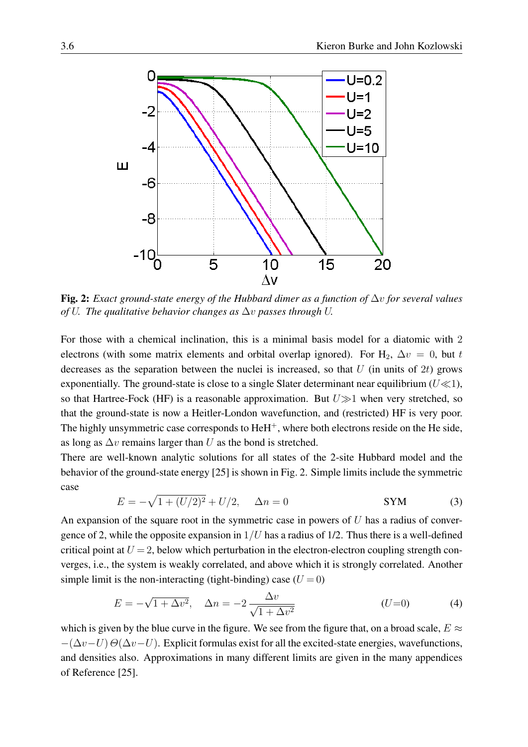

<span id="page-5-0"></span>Fig. 2: *Exact ground-state energy of the Hubbard dimer as a function of* ∆v *for several values of* U*. The qualitative behavior changes as* ∆v *passes through* U*.*

For those with a chemical inclination, this is a minimal basis model for a diatomic with 2 electrons (with some matrix elements and orbital overlap ignored). For H<sub>2</sub>,  $\Delta v = 0$ , but t decreases as the separation between the nuclei is increased, so that  $U$  (in units of  $2t$ ) grows exponentially. The ground-state is close to a single Slater determinant near equilibrium ( $U \ll 1$ ), so that Hartree-Fock (HF) is a reasonable approximation. But  $U\gg 1$  when very stretched, so that the ground-state is now a Heitler-London wavefunction, and (restricted) HF is very poor. The highly unsymmetric case corresponds to  $HeH<sup>+</sup>$ , where both electrons reside on the He side, as long as  $\Delta v$  remains larger than U as the bond is stretched.

There are well-known analytic solutions for all states of the 2-site Hubbard model and the behavior of the ground-state energy [\[25\]](#page-27-5) is shown in Fig. [2.](#page-5-0) Simple limits include the symmetric case

$$
E = -\sqrt{1 + (U/2)^2} + U/2, \quad \Delta n = 0
$$
 SYM (3)

An expansion of the square root in the symmetric case in powers of  $U$  has a radius of convergence of 2, while the opposite expansion in  $1/U$  has a radius of 1/2. Thus there is a well-defined critical point at  $U = 2$ , below which perturbation in the electron-electron coupling strength converges, i.e., the system is weakly correlated, and above which it is strongly correlated. Another simple limit is the non-interacting (tight-binding) case  $(U = 0)$ 

<span id="page-5-1"></span>
$$
E = -\sqrt{1 + \Delta v^2}, \quad \Delta n = -2 \frac{\Delta v}{\sqrt{1 + \Delta v^2}} \tag{4}
$$

which is given by the blue curve in the figure. We see from the figure that, on a broad scale,  $E \approx$  $-(\Delta v-U)\Theta(\Delta v-U)$ . Explicit formulas exist for all the excited-state energies, wavefunctions, and densities also. Approximations in many different limits are given in the many appendices of Reference [\[25\]](#page-27-5).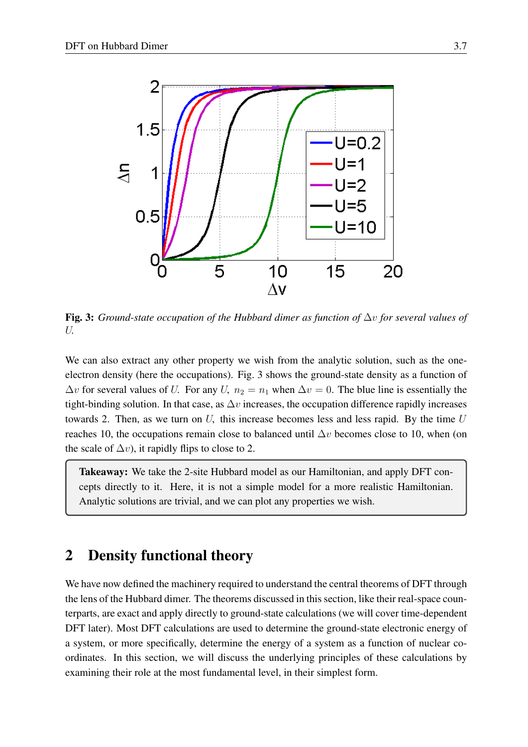

<span id="page-6-1"></span>Fig. 3: *Ground-state occupation of the Hubbard dimer as function of* ∆v *for several values of* U*.*

We can also extract any other property we wish from the analytic solution, such as the oneelectron density (here the occupations). Fig. [3](#page-6-1) shows the ground-state density as a function of  $\Delta v$  for several values of U. For any U,  $n_2 = n_1$  when  $\Delta v = 0$ . The blue line is essentially the tight-binding solution. In that case, as  $\Delta v$  increases, the occupation difference rapidly increases towards 2. Then, as we turn on  $U$ , this increase becomes less and less rapid. By the time  $U$ reaches 10, the occupations remain close to balanced until  $\Delta v$  becomes close to 10, when (on the scale of  $\Delta v$ ), it rapidly flips to close to 2.

Takeaway: We take the 2-site Hubbard model as our Hamiltonian, and apply DFT concepts directly to it. Here, it is not a simple model for a more realistic Hamiltonian. Analytic solutions are trivial, and we can plot any properties we wish.

### <span id="page-6-0"></span>2 Density functional theory

We have now defined the machinery required to understand the central theorems of DFT through the lens of the Hubbard dimer. The theorems discussed in this section, like their real-space counterparts, are exact and apply directly to ground-state calculations (we will cover time-dependent DFT later). Most DFT calculations are used to determine the ground-state electronic energy of a system, or more specifically, determine the energy of a system as a function of nuclear coordinates. In this section, we will discuss the underlying principles of these calculations by examining their role at the most fundamental level, in their simplest form.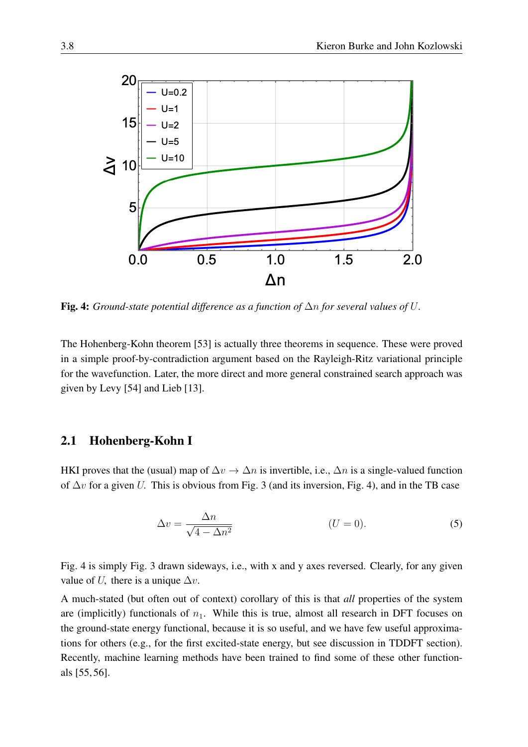

<span id="page-7-1"></span>Fig. 4: *Ground-state potential difference as a function of* ∆n *for several values of* U*.*

The Hohenberg-Kohn theorem [\[53\]](#page-28-11) is actually three theorems in sequence. These were proved in a simple proof-by-contradiction argument based on the Rayleigh-Ritz variational principle for the wavefunction. Later, the more direct and more general constrained search approach was given by Levy [\[54\]](#page-28-12) and Lieb [\[13\]](#page-26-12).

#### <span id="page-7-0"></span>2.1 Hohenberg-Kohn I

HKI proves that the (usual) map of  $\Delta v \to \Delta n$  is invertible, i.e.,  $\Delta n$  is a single-valued function of  $\Delta v$  for a given U. This is obvious from Fig. [3](#page-6-1) (and its inversion, Fig. [4\)](#page-7-1), and in the TB case

$$
\Delta v = \frac{\Delta n}{\sqrt{4 - \Delta n^2}} \tag{5}
$$

Fig. [4](#page-7-1) is simply Fig. [3](#page-6-1) drawn sideways, i.e., with x and y axes reversed. Clearly, for any given value of U, there is a unique  $\Delta v$ .

A much-stated (but often out of context) corollary of this is that *all* properties of the system are (implicitly) functionals of  $n_1$ . While this is true, almost all research in DFT focuses on the ground-state energy functional, because it is so useful, and we have few useful approximations for others (e.g., for the first excited-state energy, but see discussion in TDDFT section). Recently, machine learning methods have been trained to find some of these other functionals [\[55,](#page-28-13) [56\]](#page-28-14).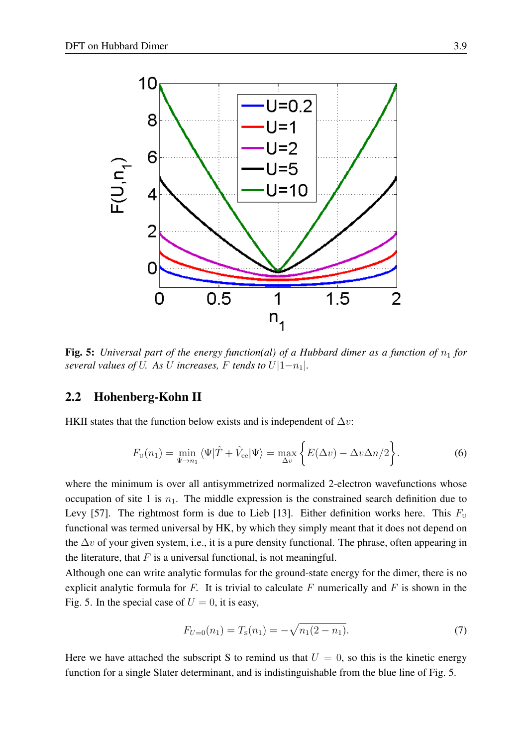

<span id="page-8-1"></span>Fig. 5: *Universal part of the energy function(al) of a Hubbard dimer as a function of*  $n_1$  *for several values of U. As U increases,* F *tends to*  $U|1-n_1|$ *.* 

#### <span id="page-8-0"></span>2.2 Hohenberg-Kohn II

HKII states that the function below exists and is independent of  $\Delta v$ :

$$
F_{\mathbf{U}}(n_1) = \min_{\Psi \to n_1} \langle \Psi | \hat{T} + \hat{V}_{\text{ee}} | \Psi \rangle = \max_{\Delta v} \left\{ E(\Delta v) - \Delta v \Delta n / 2 \right\}.
$$
 (6)

where the minimum is over all antisymmetrized normalized 2-electron wavefunctions whose occupation of site 1 is  $n_1$ . The middle expression is the constrained search definition due to Levy [\[57\]](#page-28-15). The rightmost form is due to Lieb [\[13\]](#page-26-12). Either definition works here. This  $F_{\text{U}}$ functional was termed universal by HK, by which they simply meant that it does not depend on the  $\Delta v$  of your given system, i.e., it is a pure density functional. The phrase, often appearing in the literature, that  $F$  is a universal functional, is not meaningful.

Although one can write analytic formulas for the ground-state energy for the dimer, there is no explicit analytic formula for  $F$ . It is trivial to calculate  $F$  numerically and  $F$  is shown in the Fig. [5.](#page-8-1) In the special case of  $U = 0$ , it is easy,

$$
F_{U=0}(n_1) = T_{\rm s}(n_1) = -\sqrt{n_1(2-n_1)}.
$$
\n(7)

Here we have attached the subscript S to remind us that  $U = 0$ , so this is the kinetic energy function for a single Slater determinant, and is indistinguishable from the blue line of Fig. [5.](#page-8-1)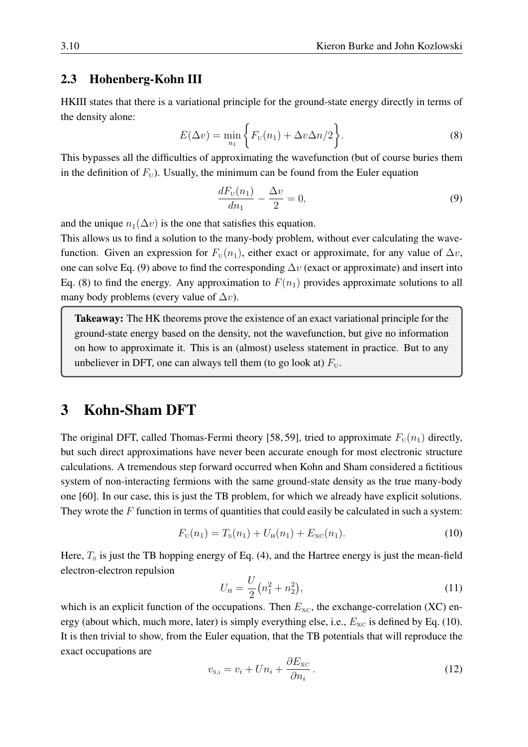#### <span id="page-9-0"></span>2.3 Hohenberg-Kohn III

HKIII states that there is a variational principle for the ground-state energy directly in terms of the density alone:

<span id="page-9-3"></span>
$$
E(\Delta v) = \min_{n_1} \left\{ F_{\text{U}}(n_1) + \Delta v \Delta n/2 \right\}.
$$
 (8)

This bypasses all the difficulties of approximating the wavefunction (but of course buries them in the definition of  $F_U$ ). Usually, the minimum can be found from the Euler equation

<span id="page-9-2"></span>
$$
\frac{dF_{\rm U}(n_1)}{dn_1} - \frac{\Delta v}{2} = 0,\t\t(9)
$$

and the unique  $n_1(\Delta v)$  is the one that satisfies this equation.

This allows us to find a solution to the many-body problem, without ever calculating the wavefunction. Given an expression for  $F_{\text{U}}(n_1)$ , either exact or approximate, for any value of  $\Delta v$ , one can solve Eq. [\(9\)](#page-9-2) above to find the corresponding  $\Delta v$  (exact or approximate) and insert into Eq. [\(8\)](#page-9-3) to find the energy. Any approximation to  $F(n_1)$  provides approximate solutions to all many body problems (every value of  $\Delta v$ ).

Takeaway: The HK theorems prove the existence of an exact variational principle for the ground-state energy based on the density, not the wavefunction, but give no information on how to approximate it. This is an (almost) useless statement in practice. But to any unbeliever in DFT, one can always tell them (to go look at)  $F_{\text{U}}$ .

### <span id="page-9-1"></span>3 Kohn-Sham DFT

The original DFT, called Thomas-Fermi theory [\[58,](#page-28-16) [59\]](#page-28-17), tried to approximate  $F_U(n_1)$  directly, but such direct approximations have never been accurate enough for most electronic structure calculations. A tremendous step forward occurred when Kohn and Sham considered a fictitious system of non-interacting fermions with the same ground-state density as the true many-body one [\[60\]](#page-28-18). In our case, this is just the TB problem, for which we already have explicit solutions. They wrote the  $F$  function in terms of quantities that could easily be calculated in such a system:

<span id="page-9-4"></span>
$$
F_{\rm U}(n_1) = T_{\rm S}(n_1) + U_{\rm H}(n_1) + E_{\rm XC}(n_1). \tag{10}
$$

Here,  $T<sub>s</sub>$  is just the TB hopping energy of Eq. [\(4\)](#page-5-1), and the Hartree energy is just the mean-field electron-electron repulsion

$$
U_{\rm H} = \frac{U}{2} (n_1^2 + n_2^2),\tag{11}
$$

which is an explicit function of the occupations. Then  $E_{\text{xc}}$ , the exchange-correlation (XC) energy (about which, much more, later) is simply everything else, i.e.,  $E_{\text{xc}}$  is defined by Eq. [\(10\)](#page-9-4). It is then trivial to show, from the Euler equation, that the TB potentials that will reproduce the exact occupations are

$$
v_{\rm s,i} = v_i + Un_i + \frac{\partial E_{\rm xc}}{\partial n_i} \,. \tag{12}
$$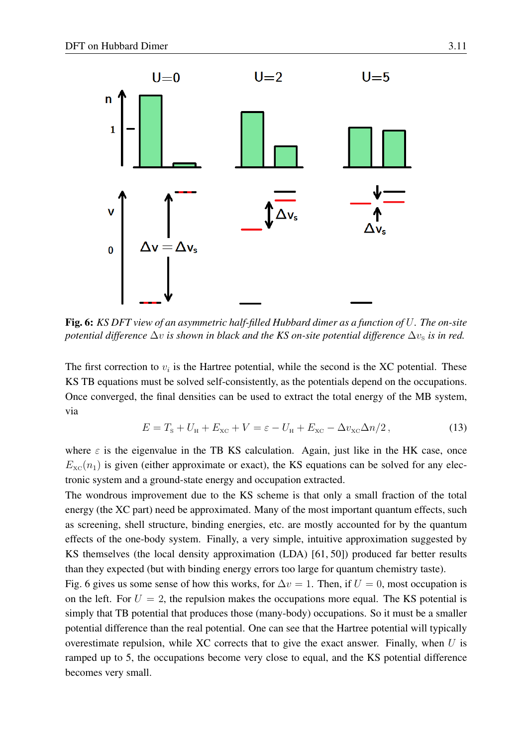

<span id="page-10-0"></span>Fig. 6: *KS DFT view of an asymmetric half-filled Hubbard dimer as a function of* U*. The on-site potential difference*  $\Delta v$  *is shown in black and the KS on-site potential difference*  $\Delta v_s$  *is in red.* 

The first correction to  $v_i$  is the Hartree potential, while the second is the XC potential. These KS TB equations must be solved self-consistently, as the potentials depend on the occupations. Once converged, the final densities can be used to extract the total energy of the MB system, via

$$
E = Ts + UH + Exc + V = \varepsilon - UH + Exc - \Delta vxc\Delta n/2, \qquad (13)
$$

where  $\varepsilon$  is the eigenvalue in the TB KS calculation. Again, just like in the HK case, once  $E_{\rm xc}(n_1)$  is given (either approximate or exact), the KS equations can be solved for any electronic system and a ground-state energy and occupation extracted.

The wondrous improvement due to the KS scheme is that only a small fraction of the total energy (the XC part) need be approximated. Many of the most important quantum effects, such as screening, shell structure, binding energies, etc. are mostly accounted for by the quantum effects of the one-body system. Finally, a very simple, intuitive approximation suggested by KS themselves (the local density approximation (LDA) [\[61,](#page-28-19) [50\]](#page-28-8)) produced far better results than they expected (but with binding energy errors too large for quantum chemistry taste).

Fig. [6](#page-10-0) gives us some sense of how this works, for  $\Delta v = 1$ . Then, if  $U = 0$ , most occupation is on the left. For  $U = 2$ , the repulsion makes the occupations more equal. The KS potential is simply that TB potential that produces those (many-body) occupations. So it must be a smaller potential difference than the real potential. One can see that the Hartree potential will typically overestimate repulsion, while XC corrects that to give the exact answer. Finally, when  $U$  is ramped up to 5, the occupations become very close to equal, and the KS potential difference becomes very small.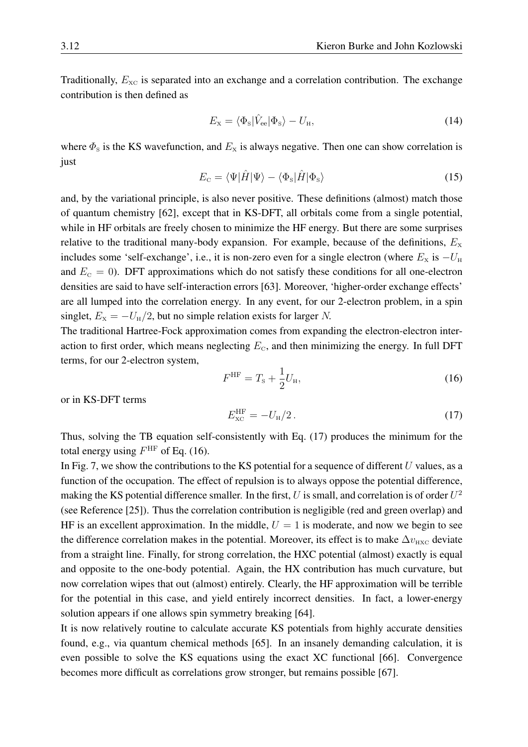Traditionally,  $E_{\text{xc}}$  is separated into an exchange and a correlation contribution. The exchange contribution is then defined as

$$
E_{\rm x} = \langle \Phi_{\rm s} | \hat{V}_{\rm ee} | \Phi_{\rm s} \rangle - U_{\rm H}, \tag{14}
$$

where  $\Phi_{\rm s}$  is the KS wavefunction, and  $E_{\rm x}$  is always negative. Then one can show correlation is just

$$
E_{\rm c} = \langle \Psi | \hat{H} | \Psi \rangle - \langle \Phi_{\rm s} | \hat{H} | \Phi_{\rm s} \rangle \tag{15}
$$

and, by the variational principle, is also never positive. These definitions (almost) match those of quantum chemistry [\[62\]](#page-28-20), except that in KS-DFT, all orbitals come from a single potential, while in HF orbitals are freely chosen to minimize the HF energy. But there are some surprises relative to the traditional many-body expansion. For example, because of the definitions,  $E_{\rm x}$ includes some 'self-exchange', i.e., it is non-zero even for a single electron (where  $E_x$  is  $-U_H$ and  $E<sub>C</sub> = 0$ ). DFT approximations which do not satisfy these conditions for all one-electron densities are said to have self-interaction errors [\[63\]](#page-28-21). Moreover, 'higher-order exchange effects' are all lumped into the correlation energy. In any event, for our 2-electron problem, in a spin singlet,  $E_x = -U_H/2$ , but no simple relation exists for larger N.

The traditional Hartree-Fock approximation comes from expanding the electron-electron interaction to first order, which means neglecting  $E_{\rm c}$ , and then minimizing the energy. In full DFT terms, for our 2-electron system,

<span id="page-11-1"></span>
$$
F^{\rm HF} = T_{\rm s} + \frac{1}{2} U_{\rm H},\tag{16}
$$

or in KS-DFT terms

<span id="page-11-0"></span>
$$
E_{\rm xc}^{\rm HF} = -U_{\rm H}/2. \tag{17}
$$

Thus, solving the TB equation self-consistently with Eq. [\(17\)](#page-11-0) produces the minimum for the total energy using  $F^{\text{HF}}$  of Eq. [\(16\)](#page-11-1).

In Fig. [7,](#page-12-0) we show the contributions to the KS potential for a sequence of different  $U$  values, as a function of the occupation. The effect of repulsion is to always oppose the potential difference, making the KS potential difference smaller. In the first, U is small, and correlation is of order  $U^2$ (see Reference [\[25\]](#page-27-5)). Thus the correlation contribution is negligible (red and green overlap) and HF is an excellent approximation. In the middle,  $U = 1$  is moderate, and now we begin to see the difference correlation makes in the potential. Moreover, its effect is to make  $\Delta v_{\text{HXC}}$  deviate from a straight line. Finally, for strong correlation, the HXC potential (almost) exactly is equal and opposite to the one-body potential. Again, the HX contribution has much curvature, but now correlation wipes that out (almost) entirely. Clearly, the HF approximation will be terrible for the potential in this case, and yield entirely incorrect densities. In fact, a lower-energy solution appears if one allows spin symmetry breaking [\[64\]](#page-28-22).

It is now relatively routine to calculate accurate KS potentials from highly accurate densities found, e.g., via quantum chemical methods [\[65\]](#page-29-0). In an insanely demanding calculation, it is even possible to solve the KS equations using the exact XC functional [\[66\]](#page-29-1). Convergence becomes more difficult as correlations grow stronger, but remains possible [\[67\]](#page-29-2).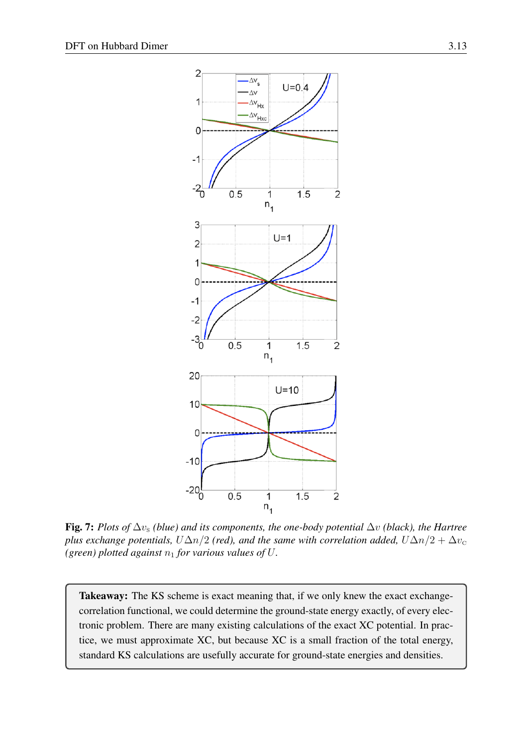

<span id="page-12-0"></span>Fig. 7: *Plots of*  $\Delta v_s$  *(blue) and its components, the one-body potential*  $\Delta v$  *(black), the Hartree plus exchange potentials,*  $U\Delta n/2$  *(red), and the same with correlation added,*  $U\Delta n/2 + \Delta v_{\rm c}$ *(green) plotted against*  $n_1$  *for various values of U.* 

Takeaway: The KS scheme is exact meaning that, if we only knew the exact exchangecorrelation functional, we could determine the ground-state energy exactly, of every electronic problem. There are many existing calculations of the exact XC potential. In practice, we must approximate XC, but because XC is a small fraction of the total energy, standard KS calculations are usefully accurate for ground-state energies and densities.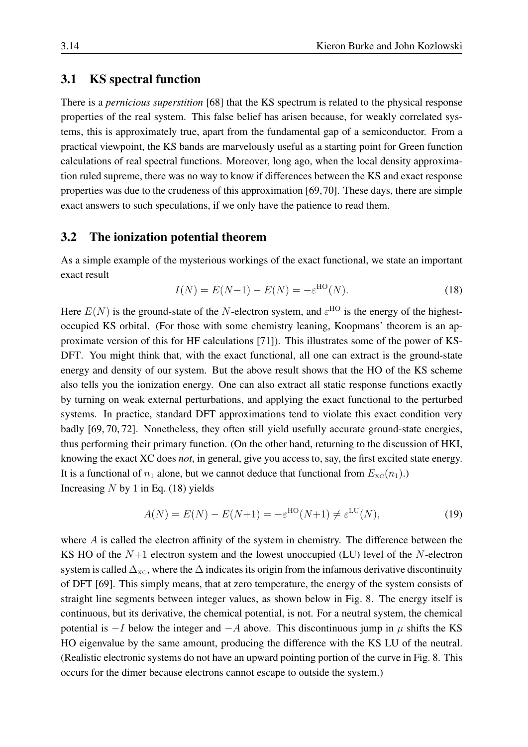#### <span id="page-13-0"></span>3.1 KS spectral function

There is a *pernicious superstition* [\[68\]](#page-29-3) that the KS spectrum is related to the physical response properties of the real system. This false belief has arisen because, for weakly correlated systems, this is approximately true, apart from the fundamental gap of a semiconductor. From a practical viewpoint, the KS bands are marvelously useful as a starting point for Green function calculations of real spectral functions. Moreover, long ago, when the local density approximation ruled supreme, there was no way to know if differences between the KS and exact response properties was due to the crudeness of this approximation [\[69,](#page-29-4)[70\]](#page-29-5). These days, there are simple exact answers to such speculations, if we only have the patience to read them.

#### <span id="page-13-1"></span>3.2 The ionization potential theorem

As a simple example of the mysterious workings of the exact functional, we state an important exact result

<span id="page-13-2"></span>
$$
I(N) = E(N-1) - E(N) = -\varepsilon^{HO}(N).
$$
 (18)

Here  $E(N)$  is the ground-state of the N-electron system, and  $\varepsilon^{HO}$  is the energy of the highestoccupied KS orbital. (For those with some chemistry leaning, Koopmans' theorem is an approximate version of this for HF calculations [\[71\]](#page-29-6)). This illustrates some of the power of KS-DFT. You might think that, with the exact functional, all one can extract is the ground-state energy and density of our system. But the above result shows that the HO of the KS scheme also tells you the ionization energy. One can also extract all static response functions exactly by turning on weak external perturbations, and applying the exact functional to the perturbed systems. In practice, standard DFT approximations tend to violate this exact condition very badly [\[69,](#page-29-4) [70,](#page-29-5) [72\]](#page-29-7). Nonetheless, they often still yield usefully accurate ground-state energies, thus performing their primary function. (On the other hand, returning to the discussion of HKI, knowing the exact XC does *not*, in general, give you access to, say, the first excited state energy. It is a functional of  $n_1$  alone, but we cannot deduce that functional from  $E_{\text{XC}}(n_1)$ .) Increasing  $N$  by 1 in Eq. [\(18\)](#page-13-2) yields

<span id="page-13-3"></span>
$$
A(N) = E(N) - E(N+1) = -\varepsilon^{\text{HO}}(N+1) \neq \varepsilon^{\text{LU}}(N),\tag{19}
$$

where A is called the electron affinity of the system in chemistry. The difference between the KS HO of the  $N+1$  electron system and the lowest unoccupied (LU) level of the N-electron system is called  $\Delta_{\text{xc}}$ , where the  $\Delta$  indicates its origin from the infamous derivative discontinuity of DFT [\[69\]](#page-29-4). This simply means, that at zero temperature, the energy of the system consists of straight line segments between integer values, as shown below in Fig. [8.](#page-14-1) The energy itself is continuous, but its derivative, the chemical potential, is not. For a neutral system, the chemical potential is  $-I$  below the integer and  $-A$  above. This discontinuous jump in  $\mu$  shifts the KS HO eigenvalue by the same amount, producing the difference with the KS LU of the neutral. (Realistic electronic systems do not have an upward pointing portion of the curve in Fig. [8.](#page-14-1) This occurs for the dimer because electrons cannot escape to outside the system.)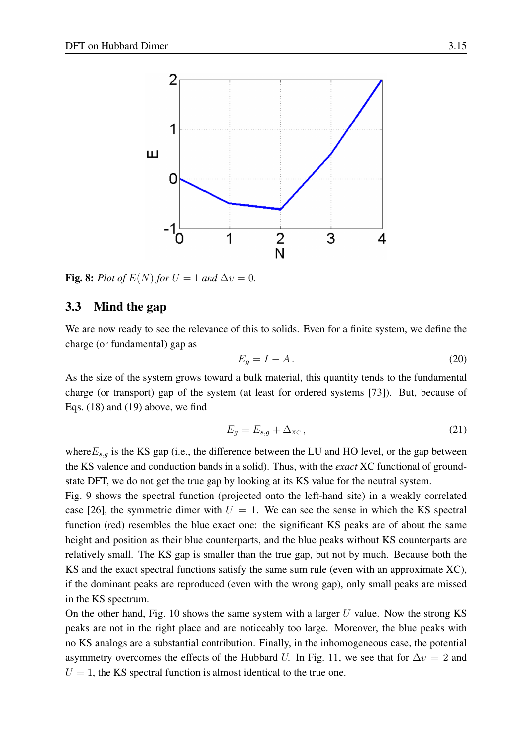

<span id="page-14-1"></span>Fig. 8: *Plot of*  $E(N)$  *for*  $U = 1$  *and*  $\Delta v = 0$ *.* 

#### <span id="page-14-0"></span>3.3 Mind the gap

We are now ready to see the relevance of this to solids. Even for a finite system, we define the charge (or fundamental) gap as

<span id="page-14-2"></span>
$$
E_g = I - A. \tag{20}
$$

As the size of the system grows toward a bulk material, this quantity tends to the fundamental charge (or transport) gap of the system (at least for ordered systems [\[73\]](#page-29-8)). But, because of Eqs. [\(18\)](#page-13-2) and [\(19\)](#page-13-3) above, we find

$$
E_g = E_{s,g} + \Delta_{\rm xc},\tag{21}
$$

where  $E_{s,q}$  is the KS gap (i.e., the difference between the LU and HO level, or the gap between the KS valence and conduction bands in a solid). Thus, with the *exact* XC functional of groundstate DFT, we do not get the true gap by looking at its KS value for the neutral system.

Fig. [9](#page-15-0) shows the spectral function (projected onto the left-hand site) in a weakly correlated case [\[26\]](#page-27-6), the symmetric dimer with  $U = 1$ . We can see the sense in which the KS spectral function (red) resembles the blue exact one: the significant KS peaks are of about the same height and position as their blue counterparts, and the blue peaks without KS counterparts are relatively small. The KS gap is smaller than the true gap, but not by much. Because both the KS and the exact spectral functions satisfy the same sum rule (even with an approximate XC), if the dominant peaks are reproduced (even with the wrong gap), only small peaks are missed in the KS spectrum.

On the other hand, Fig. [10](#page-15-1) shows the same system with a larger  $U$  value. Now the strong KS peaks are not in the right place and are noticeably too large. Moreover, the blue peaks with no KS analogs are a substantial contribution. Finally, in the inhomogeneous case, the potential asymmetry overcomes the effects of the Hubbard U. In Fig. [11,](#page-16-0) we see that for  $\Delta v = 2$  and  $U = 1$ , the KS spectral function is almost identical to the true one.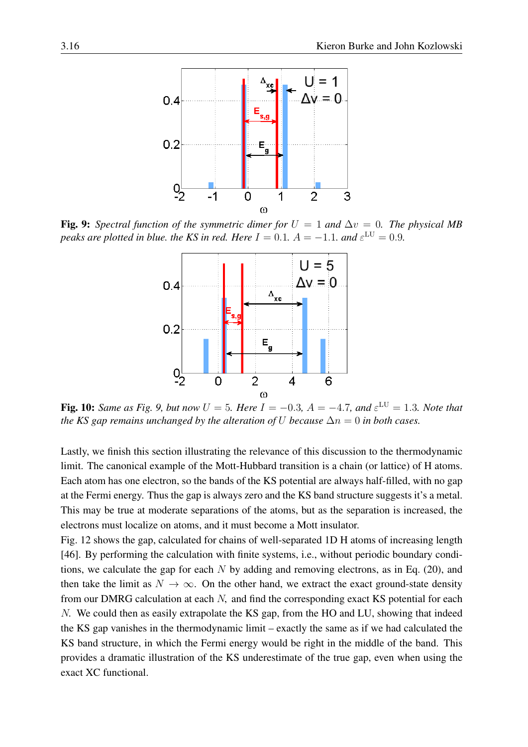

<span id="page-15-0"></span>Fig. 9: *Spectral function of the symmetric dimer for*  $U = 1$  *and*  $\Delta v = 0$ *. The physical MB peaks are plotted in blue, the KS in red. Here*  $I = 0.1$ ,  $A = -1.1$ *, and*  $\varepsilon^{\text{LU}} = 0.9$ *.* 



<span id="page-15-1"></span>Fig. 10: *Same as Fig.* [9,](#page-15-0) *but now*  $U = 5$ *. Here*  $I = -0.3$ *,*  $A = -4.7$ *, and*  $\varepsilon^{\text{LU}} = 1.3$ *. Note that the KS gap remains unchanged by the alteration of* U *because*  $\Delta n = 0$  *in both cases.* 

Lastly, we finish this section illustrating the relevance of this discussion to the thermodynamic limit. The canonical example of the Mott-Hubbard transition is a chain (or lattice) of H atoms. Each atom has one electron, so the bands of the KS potential are always half-filled, with no gap at the Fermi energy. Thus the gap is always zero and the KS band structure suggests it's a metal. This may be true at moderate separations of the atoms, but as the separation is increased, the electrons must localize on atoms, and it must become a Mott insulator.

Fig. [12](#page-16-1) shows the gap, calculated for chains of well-separated 1D H atoms of increasing length [\[46\]](#page-28-4). By performing the calculation with finite systems, i.e., without periodic boundary conditions, we calculate the gap for each  $N$  by adding and removing electrons, as in Eq. [\(20\)](#page-14-2), and then take the limit as  $N \to \infty$ . On the other hand, we extract the exact ground-state density from our DMRG calculation at each N, and find the corresponding exact KS potential for each N. We could then as easily extrapolate the KS gap, from the HO and LU, showing that indeed the KS gap vanishes in the thermodynamic limit – exactly the same as if we had calculated the KS band structure, in which the Fermi energy would be right in the middle of the band. This provides a dramatic illustration of the KS underestimate of the true gap, even when using the exact XC functional.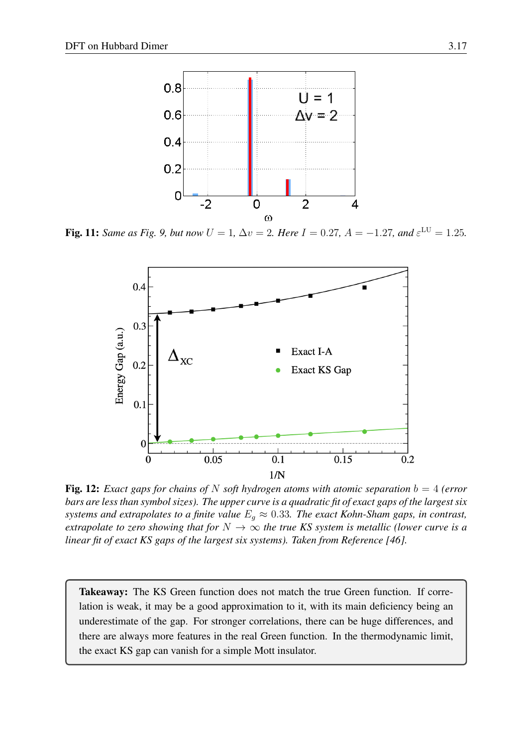

**Fig. 11:** Same as Fig. [9,](#page-15-0) but now  $U = 1$ ,  $\Delta v = 2$ . Here  $I = 0.27$ ,  $A = -1.27$ , and  $\varepsilon^{\text{LU}} = 1.25$ .

<span id="page-16-0"></span>

<span id="page-16-1"></span>Fig. 12: *Exact gaps for chains of* N *soft hydrogen atoms with atomic separation* b = 4 *(error bars are less than symbol sizes). The upper curve is a quadratic fit of exact gaps of the largest six systems and extrapolates to a finite value*  $E<sub>g</sub> \approx 0.33$ *. The exact Kohn-Sham gaps, in contrast, extrapolate to zero showing that for*  $N \to \infty$  *the true KS system is metallic (lower curve is a linear fit of exact KS gaps of the largest six systems). Taken from Reference [\[46\]](#page-28-4)*.

Takeaway: The KS Green function does not match the true Green function. If correlation is weak, it may be a good approximation to it, with its main deficiency being an underestimate of the gap. For stronger correlations, there can be huge differences, and there are always more features in the real Green function. In the thermodynamic limit, the exact KS gap can vanish for a simple Mott insulator.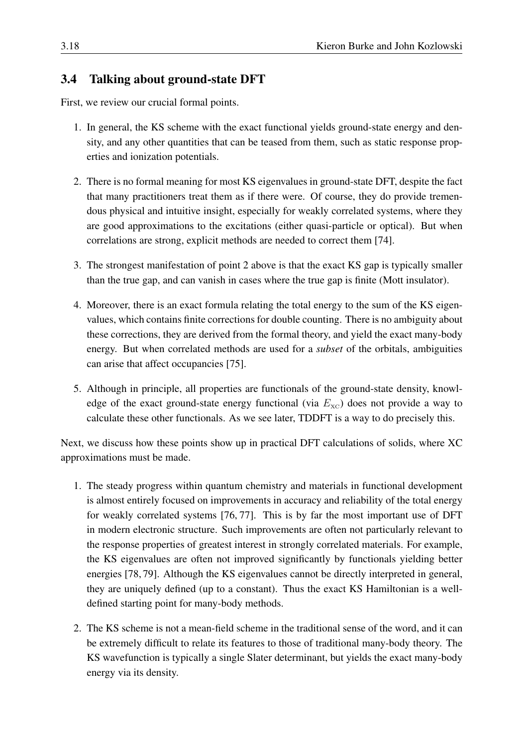### <span id="page-17-0"></span>3.4 Talking about ground-state DFT

First, we review our crucial formal points.

- 1. In general, the KS scheme with the exact functional yields ground-state energy and density, and any other quantities that can be teased from them, such as static response properties and ionization potentials.
- 2. There is no formal meaning for most KS eigenvalues in ground-state DFT, despite the fact that many practitioners treat them as if there were. Of course, they do provide tremendous physical and intuitive insight, especially for weakly correlated systems, where they are good approximations to the excitations (either quasi-particle or optical). But when correlations are strong, explicit methods are needed to correct them [\[74\]](#page-29-9).
- 3. The strongest manifestation of point 2 above is that the exact KS gap is typically smaller than the true gap, and can vanish in cases where the true gap is finite (Mott insulator).
- 4. Moreover, there is an exact formula relating the total energy to the sum of the KS eigenvalues, which contains finite corrections for double counting. There is no ambiguity about these corrections, they are derived from the formal theory, and yield the exact many-body energy. But when correlated methods are used for a *subset* of the orbitals, ambiguities can arise that affect occupancies [\[75\]](#page-29-10).
- 5. Although in principle, all properties are functionals of the ground-state density, knowledge of the exact ground-state energy functional (via  $E_{\text{XC}}$ ) does not provide a way to calculate these other functionals. As we see later, TDDFT is a way to do precisely this.

Next, we discuss how these points show up in practical DFT calculations of solids, where XC approximations must be made.

- 1. The steady progress within quantum chemistry and materials in functional development is almost entirely focused on improvements in accuracy and reliability of the total energy for weakly correlated systems [\[76,](#page-29-11) [77\]](#page-29-12). This is by far the most important use of DFT in modern electronic structure. Such improvements are often not particularly relevant to the response properties of greatest interest in strongly correlated materials. For example, the KS eigenvalues are often not improved significantly by functionals yielding better energies [\[78,](#page-29-13) [79\]](#page-29-14). Although the KS eigenvalues cannot be directly interpreted in general, they are uniquely defined (up to a constant). Thus the exact KS Hamiltonian is a welldefined starting point for many-body methods.
- 2. The KS scheme is not a mean-field scheme in the traditional sense of the word, and it can be extremely difficult to relate its features to those of traditional many-body theory. The KS wavefunction is typically a single Slater determinant, but yields the exact many-body energy via its density.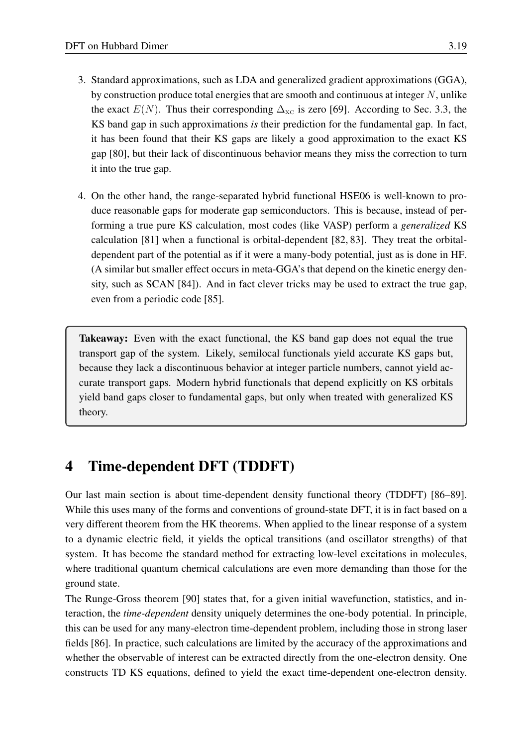- 3. Standard approximations, such as LDA and generalized gradient approximations (GGA), by construction produce total energies that are smooth and continuous at integer  $N$ , unlike the exact  $E(N)$ . Thus their corresponding  $\Delta_{\text{XC}}$  is zero [\[69\]](#page-29-4). According to Sec. [3.3,](#page-14-0) the KS band gap in such approximations *is* their prediction for the fundamental gap. In fact, it has been found that their KS gaps are likely a good approximation to the exact KS gap [\[80\]](#page-29-15), but their lack of discontinuous behavior means they miss the correction to turn it into the true gap.
- 4. On the other hand, the range-separated hybrid functional HSE06 is well-known to produce reasonable gaps for moderate gap semiconductors. This is because, instead of performing a true pure KS calculation, most codes (like VASP) perform a *generalized* KS calculation [\[81\]](#page-29-16) when a functional is orbital-dependent [\[82,](#page-29-17) [83\]](#page-29-18). They treat the orbitaldependent part of the potential as if it were a many-body potential, just as is done in HF. (A similar but smaller effect occurs in meta-GGA's that depend on the kinetic energy density, such as SCAN [\[84\]](#page-29-19)). And in fact clever tricks may be used to extract the true gap, even from a periodic code [\[85\]](#page-29-20).

Takeaway: Even with the exact functional, the KS band gap does not equal the true transport gap of the system. Likely, semilocal functionals yield accurate KS gaps but, because they lack a discontinuous behavior at integer particle numbers, cannot yield accurate transport gaps. Modern hybrid functionals that depend explicitly on KS orbitals yield band gaps closer to fundamental gaps, but only when treated with generalized KS theory.

# <span id="page-18-0"></span>4 Time-dependent DFT (TDDFT)

Our last main section is about time-dependent density functional theory (TDDFT) [\[86](#page-29-21)[–89\]](#page-30-0). While this uses many of the forms and conventions of ground-state DFT, it is in fact based on a very different theorem from the HK theorems. When applied to the linear response of a system to a dynamic electric field, it yields the optical transitions (and oscillator strengths) of that system. It has become the standard method for extracting low-level excitations in molecules, where traditional quantum chemical calculations are even more demanding than those for the ground state.

The Runge-Gross theorem [\[90\]](#page-30-1) states that, for a given initial wavefunction, statistics, and interaction, the *time-dependent* density uniquely determines the one-body potential. In principle, this can be used for any many-electron time-dependent problem, including those in strong laser fields [\[86\]](#page-29-21). In practice, such calculations are limited by the accuracy of the approximations and whether the observable of interest can be extracted directly from the one-electron density. One constructs TD KS equations, defined to yield the exact time-dependent one-electron density.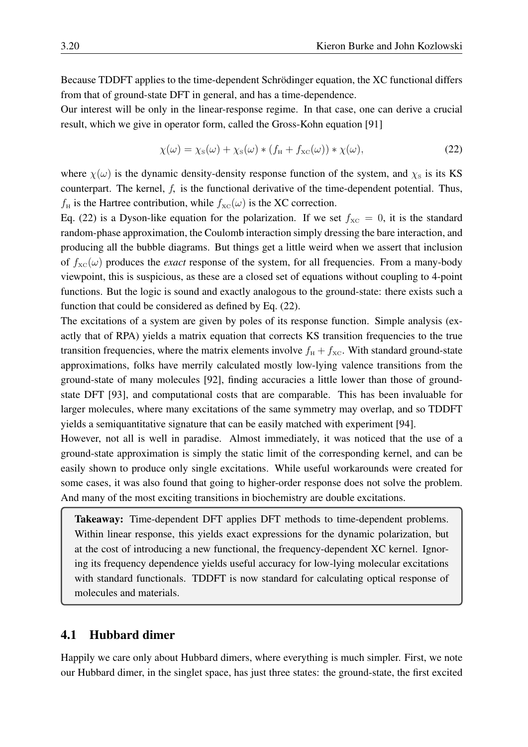Because TDDFT applies to the time-dependent Schrödinger equation, the XC functional differs from that of ground-state DFT in general, and has a time-dependence.

Our interest will be only in the linear-response regime. In that case, one can derive a crucial result, which we give in operator form, called the Gross-Kohn equation [\[91\]](#page-30-2)

<span id="page-19-1"></span>
$$
\chi(\omega) = \chi_{\rm s}(\omega) + \chi_{\rm s}(\omega) * (f_{\rm H} + f_{\rm xc}(\omega)) * \chi(\omega), \tag{22}
$$

where  $\chi(\omega)$  is the dynamic density-density response function of the system, and  $\chi_s$  is its KS counterpart. The kernel,  $f$ , is the functional derivative of the time-dependent potential. Thus,  $f_H$  is the Hartree contribution, while  $f_{\text{XC}}(\omega)$  is the XC correction.

Eq. [\(22\)](#page-19-1) is a Dyson-like equation for the polarization. If we set  $f_{\text{XC}} = 0$ , it is the standard random-phase approximation, the Coulomb interaction simply dressing the bare interaction, and producing all the bubble diagrams. But things get a little weird when we assert that inclusion of  $f_{\text{XC}}(\omega)$  produces the *exact* response of the system, for all frequencies. From a many-body viewpoint, this is suspicious, as these are a closed set of equations without coupling to 4-point functions. But the logic is sound and exactly analogous to the ground-state: there exists such a function that could be considered as defined by Eq. [\(22\)](#page-19-1).

The excitations of a system are given by poles of its response function. Simple analysis (exactly that of RPA) yields a matrix equation that corrects KS transition frequencies to the true transition frequencies, where the matrix elements involve  $f_H + f_{XC}$ . With standard ground-state approximations, folks have merrily calculated mostly low-lying valence transitions from the ground-state of many molecules [\[92\]](#page-30-3), finding accuracies a little lower than those of groundstate DFT [\[93\]](#page-30-4), and computational costs that are comparable. This has been invaluable for larger molecules, where many excitations of the same symmetry may overlap, and so TDDFT yields a semiquantitative signature that can be easily matched with experiment [\[94\]](#page-30-5).

However, not all is well in paradise. Almost immediately, it was noticed that the use of a ground-state approximation is simply the static limit of the corresponding kernel, and can be easily shown to produce only single excitations. While useful workarounds were created for some cases, it was also found that going to higher-order response does not solve the problem. And many of the most exciting transitions in biochemistry are double excitations.

Takeaway: Time-dependent DFT applies DFT methods to time-dependent problems. Within linear response, this yields exact expressions for the dynamic polarization, but at the cost of introducing a new functional, the frequency-dependent XC kernel. Ignoring its frequency dependence yields useful accuracy for low-lying molecular excitations with standard functionals. TDDFT is now standard for calculating optical response of molecules and materials.

#### <span id="page-19-0"></span>4.1 Hubbard dimer

Happily we care only about Hubbard dimers, where everything is much simpler. First, we note our Hubbard dimer, in the singlet space, has just three states: the ground-state, the first excited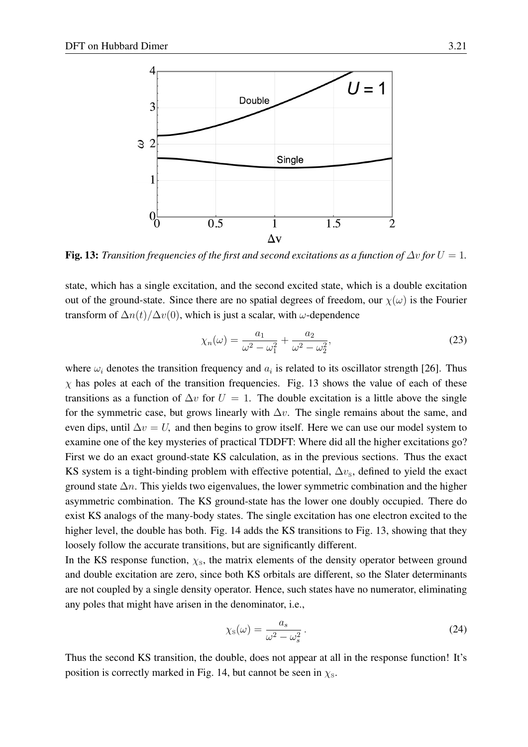

<span id="page-20-0"></span>Fig. 13: *Transition frequencies of the first and second excitations as a function of*  $\Delta v$  *for*  $U = 1$ *.* 

state, which has a single excitation, and the second excited state, which is a double excitation out of the ground-state. Since there are no spatial degrees of freedom, our  $\chi(\omega)$  is the Fourier transform of  $\Delta n(t)/\Delta v(0)$ , which is just a scalar, with  $\omega$ -dependence

$$
\chi_n(\omega) = \frac{a_1}{\omega^2 - \omega_1^2} + \frac{a_2}{\omega^2 - \omega_2^2},\tag{23}
$$

where  $\omega_i$  denotes the transition frequency and  $a_i$  is related to its oscillator strength [\[26\]](#page-27-6). Thus  $\chi$  has poles at each of the transition frequencies. Fig. [13](#page-20-0) shows the value of each of these transitions as a function of  $\Delta v$  for  $U = 1$ . The double excitation is a little above the single for the symmetric case, but grows linearly with  $\Delta v$ . The single remains about the same, and even dips, until  $\Delta v = U$ , and then begins to grow itself. Here we can use our model system to examine one of the key mysteries of practical TDDFT: Where did all the higher excitations go? First we do an exact ground-state KS calculation, as in the previous sections. Thus the exact KS system is a tight-binding problem with effective potential,  $\Delta v_{\rm s}$ , defined to yield the exact ground state  $\Delta n$ . This yields two eigenvalues, the lower symmetric combination and the higher asymmetric combination. The KS ground-state has the lower one doubly occupied. There do exist KS analogs of the many-body states. The single excitation has one electron excited to the higher level, the double has both. Fig. [14](#page-21-0) adds the KS transitions to Fig. [13,](#page-20-0) showing that they loosely follow the accurate transitions, but are significantly different.

In the KS response function,  $\chi$ <sub>s</sub>, the matrix elements of the density operator between ground and double excitation are zero, since both KS orbitals are different, so the Slater determinants are not coupled by a single density operator. Hence, such states have no numerator, eliminating any poles that might have arisen in the denominator, i.e.,

$$
\chi_{\rm s}(\omega) = \frac{a_s}{\omega^2 - \omega_s^2} \,. \tag{24}
$$

Thus the second KS transition, the double, does not appear at all in the response function! It's position is correctly marked in Fig. [14,](#page-21-0) but cannot be seen in  $\chi$ <sub>s</sub>.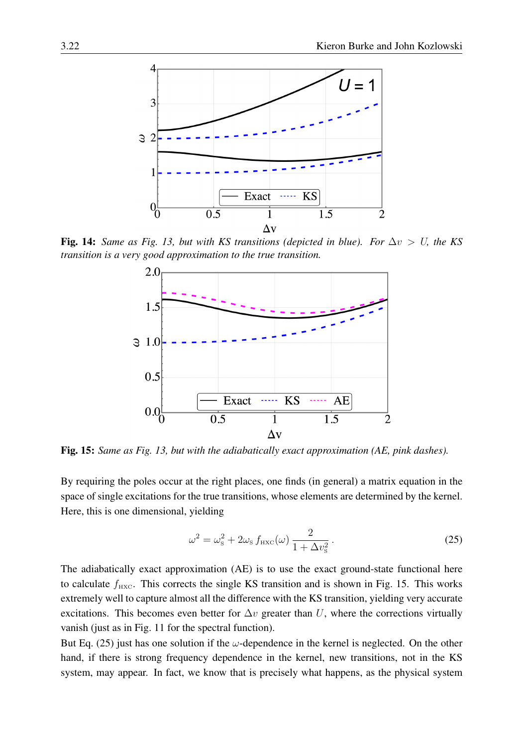

Fig. 14: *Same as Fig. [13,](#page-20-0) but with KS transitions (depicted in blue). For*  $\Delta v > U$ , the KS *transition is a very good approximation to the true transition.*

<span id="page-21-0"></span>

<span id="page-21-1"></span>Fig. 15: *Same as Fig. [13,](#page-20-0) but with the adiabatically exact approximation (AE, pink dashes).*

By requiring the poles occur at the right places, one finds (in general) a matrix equation in the space of single excitations for the true transitions, whose elements are determined by the kernel. Here, this is one dimensional, yielding

<span id="page-21-2"></span>
$$
\omega^2 = \omega_{\rm s}^2 + 2\omega_{\rm s} f_{\rm HXC}(\omega) \frac{2}{1 + \Delta v_{\rm s}^2} \,. \tag{25}
$$

The adiabatically exact approximation (AE) is to use the exact ground-state functional here to calculate  $f_{\text{HXC}}$ . This corrects the single KS transition and is shown in Fig. [15.](#page-21-1) This works extremely well to capture almost all the difference with the KS transition, yielding very accurate excitations. This becomes even better for  $\Delta v$  greater than U, where the corrections virtually vanish (just as in Fig. [11](#page-16-0) for the spectral function).

But Eq. [\(25\)](#page-21-2) just has one solution if the  $\omega$ -dependence in the kernel is neglected. On the other hand, if there is strong frequency dependence in the kernel, new transitions, not in the KS system, may appear. In fact, we know that is precisely what happens, as the physical system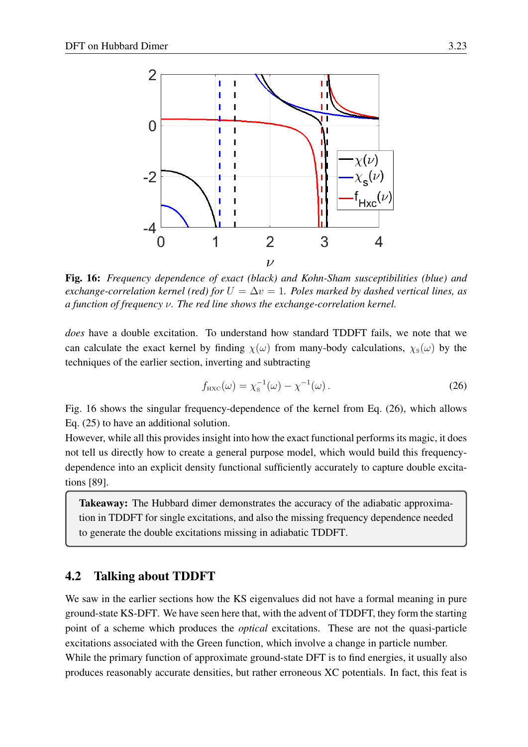

<span id="page-22-1"></span>Fig. 16: *Frequency dependence of exact (black) and Kohn-Sham susceptibilities (blue) and exchange-correlation kernel (red) for*  $U = \Delta v = 1$ . Poles marked by dashed vertical lines, as *a function of frequency* ν*. The red line shows the exchange-correlation kernel.*

*does* have a double excitation. To understand how standard TDDFT fails, we note that we can calculate the exact kernel by finding  $\chi(\omega)$  from many-body calculations,  $\chi_{\rm s}(\omega)$  by the techniques of the earlier section, inverting and subtracting

<span id="page-22-2"></span>
$$
f_{\text{HXC}}(\omega) = \chi_{\text{S}}^{-1}(\omega) - \chi^{-1}(\omega).
$$
 (26)

Fig. [16](#page-22-1) shows the singular frequency-dependence of the kernel from Eq. [\(26\)](#page-22-2), which allows Eq. [\(25\)](#page-21-2) to have an additional solution.

However, while all this provides insight into how the exact functional performs its magic, it does not tell us directly how to create a general purpose model, which would build this frequencydependence into an explicit density functional sufficiently accurately to capture double excitations [\[89\]](#page-30-0).

**Takeaway:** The Hubbard dimer demonstrates the accuracy of the adiabatic approximation in TDDFT for single excitations, and also the missing frequency dependence needed to generate the double excitations missing in adiabatic TDDFT.

#### <span id="page-22-0"></span>4.2 Talking about TDDFT

We saw in the earlier sections how the KS eigenvalues did not have a formal meaning in pure ground-state KS-DFT. We have seen here that, with the advent of TDDFT, they form the starting point of a scheme which produces the *optical* excitations. These are not the quasi-particle excitations associated with the Green function, which involve a change in particle number. While the primary function of approximate ground-state DFT is to find energies, it usually also produces reasonably accurate densities, but rather erroneous XC potentials. In fact, this feat is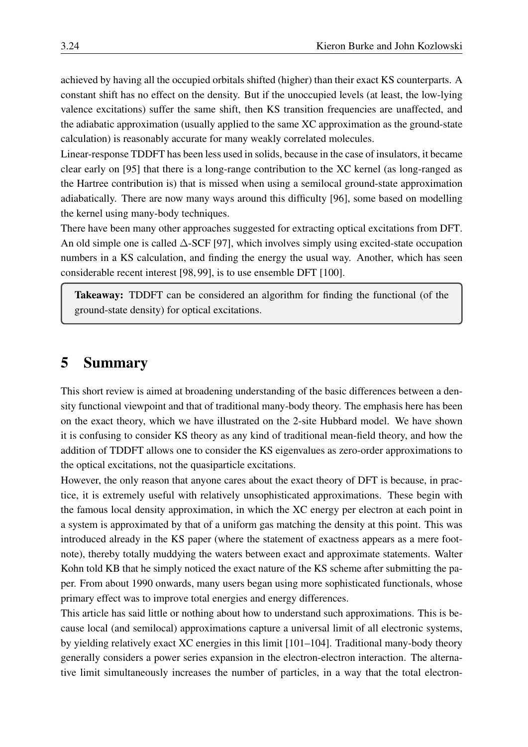achieved by having all the occupied orbitals shifted (higher) than their exact KS counterparts. A constant shift has no effect on the density. But if the unoccupied levels (at least, the low-lying valence excitations) suffer the same shift, then KS transition frequencies are unaffected, and the adiabatic approximation (usually applied to the same XC approximation as the ground-state calculation) is reasonably accurate for many weakly correlated molecules.

Linear-response TDDFT has been less used in solids, because in the case of insulators, it became clear early on [\[95\]](#page-30-6) that there is a long-range contribution to the XC kernel (as long-ranged as the Hartree contribution is) that is missed when using a semilocal ground-state approximation adiabatically. There are now many ways around this difficulty [\[96\]](#page-30-7), some based on modelling the kernel using many-body techniques.

There have been many other approaches suggested for extracting optical excitations from DFT. An old simple one is called ∆-SCF [\[97\]](#page-30-8), which involves simply using excited-state occupation numbers in a KS calculation, and finding the energy the usual way. Another, which has seen considerable recent interest [\[98,](#page-30-9) [99\]](#page-30-10), is to use ensemble DFT [\[100\]](#page-30-11).

Takeaway: TDDFT can be considered an algorithm for finding the functional (of the ground-state density) for optical excitations.

### <span id="page-23-0"></span>5 Summary

This short review is aimed at broadening understanding of the basic differences between a density functional viewpoint and that of traditional many-body theory. The emphasis here has been on the exact theory, which we have illustrated on the 2-site Hubbard model. We have shown it is confusing to consider KS theory as any kind of traditional mean-field theory, and how the addition of TDDFT allows one to consider the KS eigenvalues as zero-order approximations to the optical excitations, not the quasiparticle excitations.

However, the only reason that anyone cares about the exact theory of DFT is because, in practice, it is extremely useful with relatively unsophisticated approximations. These begin with the famous local density approximation, in which the XC energy per electron at each point in a system is approximated by that of a uniform gas matching the density at this point. This was introduced already in the KS paper (where the statement of exactness appears as a mere footnote), thereby totally muddying the waters between exact and approximate statements. Walter Kohn told KB that he simply noticed the exact nature of the KS scheme after submitting the paper. From about 1990 onwards, many users began using more sophisticated functionals, whose primary effect was to improve total energies and energy differences.

This article has said little or nothing about how to understand such approximations. This is because local (and semilocal) approximations capture a universal limit of all electronic systems, by yielding relatively exact XC energies in this limit [\[101–](#page-30-12)[104\]](#page-30-13). Traditional many-body theory generally considers a power series expansion in the electron-electron interaction. The alternative limit simultaneously increases the number of particles, in a way that the total electron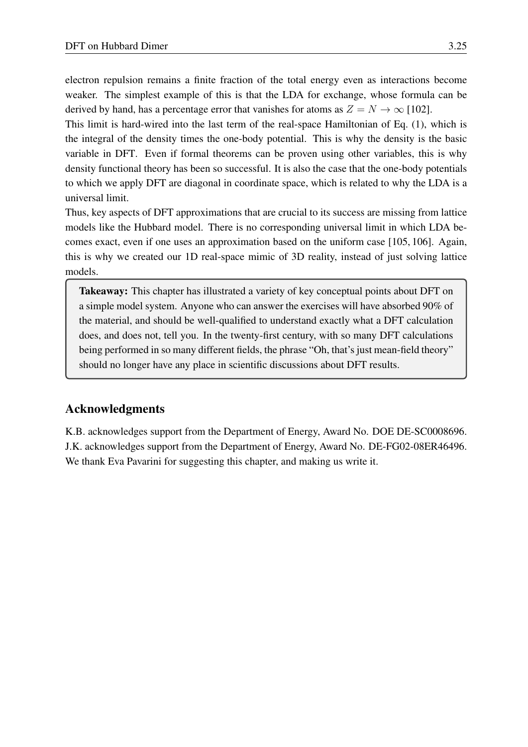electron repulsion remains a finite fraction of the total energy even as interactions become weaker. The simplest example of this is that the LDA for exchange, whose formula can be derived by hand, has a percentage error that vanishes for atoms as  $Z = N \rightarrow \infty$  [\[102\]](#page-30-14).

This limit is hard-wired into the last term of the real-space Hamiltonian of Eq. [\(1\)](#page-2-1), which is the integral of the density times the one-body potential. This is why the density is the basic variable in DFT. Even if formal theorems can be proven using other variables, this is why density functional theory has been so successful. It is also the case that the one-body potentials to which we apply DFT are diagonal in coordinate space, which is related to why the LDA is a universal limit.

Thus, key aspects of DFT approximations that are crucial to its success are missing from lattice models like the Hubbard model. There is no corresponding universal limit in which LDA becomes exact, even if one uses an approximation based on the uniform case [\[105,](#page-30-15) [106\]](#page-30-16). Again, this is why we created our 1D real-space mimic of 3D reality, instead of just solving lattice models.

Takeaway: This chapter has illustrated a variety of key conceptual points about DFT on a simple model system. Anyone who can answer the exercises will have absorbed 90% of the material, and should be well-qualified to understand exactly what a DFT calculation does, and does not, tell you. In the twenty-first century, with so many DFT calculations being performed in so many different fields, the phrase "Oh, that's just mean-field theory" should no longer have any place in scientific discussions about DFT results.

#### Acknowledgments

K.B. acknowledges support from the Department of Energy, Award No. DOE DE-SC0008696. J.K. acknowledges support from the Department of Energy, Award No. DE-FG02-08ER46496. We thank Eva Pavarini for suggesting this chapter, and making us write it.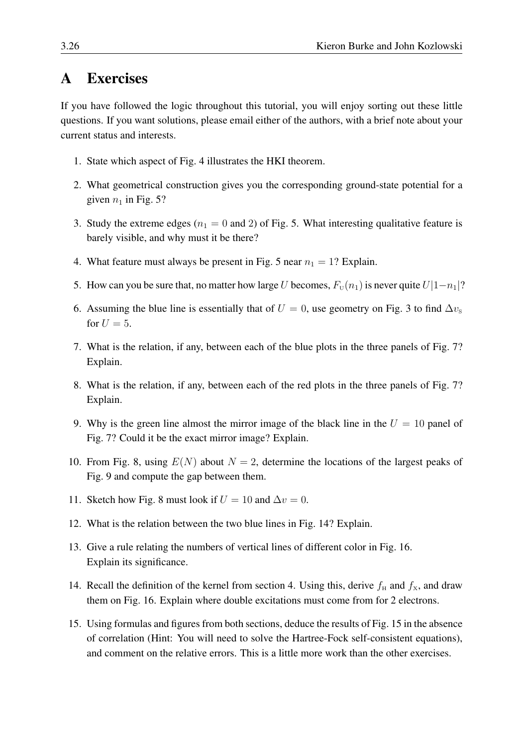## <span id="page-25-0"></span>A Exercises

If you have followed the logic throughout this tutorial, you will enjoy sorting out these little questions. If you want solutions, please email either of the authors, with a brief note about your current status and interests.

- 1. State which aspect of Fig. [4](#page-7-1) illustrates the HKI theorem.
- 2. What geometrical construction gives you the corresponding ground-state potential for a given  $n_1$  in Fig. [5?](#page-8-1)
- 3. Study the extreme edges ( $n_1 = 0$  and 2) of Fig. [5.](#page-8-1) What interesting qualitative feature is barely visible, and why must it be there?
- 4. What feature must always be present in Fig. [5](#page-8-1) near  $n_1 = 1$ ? Explain.
- 5. How can you be sure that, no matter how large U becomes,  $F_U(n_1)$  is never quite  $U|1-n_1|$ ?
- 6. Assuming the blue line is essentially that of  $U = 0$ , use geometry on Fig. [3](#page-6-1) to find  $\Delta v<sub>S</sub>$ for  $U = 5$ .
- 7. What is the relation, if any, between each of the blue plots in the three panels of Fig. [7?](#page-12-0) Explain.
- 8. What is the relation, if any, between each of the red plots in the three panels of Fig. [7?](#page-12-0) Explain.
- 9. Why is the green line almost the mirror image of the black line in the  $U = 10$  panel of Fig. [7?](#page-12-0) Could it be the exact mirror image? Explain.
- 10. From Fig. [8,](#page-14-1) using  $E(N)$  about  $N = 2$ , determine the locations of the largest peaks of Fig. [9](#page-15-0) and compute the gap between them.
- 11. Sketch how Fig. [8](#page-14-1) must look if  $U = 10$  and  $\Delta v = 0$ .
- 12. What is the relation between the two blue lines in Fig. [14?](#page-21-0) Explain.
- 13. Give a rule relating the numbers of vertical lines of different color in Fig. [16.](#page-22-1) Explain its significance.
- 14. Recall the definition of the kernel from section [4.](#page-18-0) Using this, derive  $f_H$  and  $f_X$ , and draw them on Fig. [16.](#page-22-1) Explain where double excitations must come from for 2 electrons.
- 15. Using formulas and figures from both sections, deduce the results of Fig. [15](#page-21-1) in the absence of correlation (Hint: You will need to solve the Hartree-Fock self-consistent equations), and comment on the relative errors. This is a little more work than the other exercises.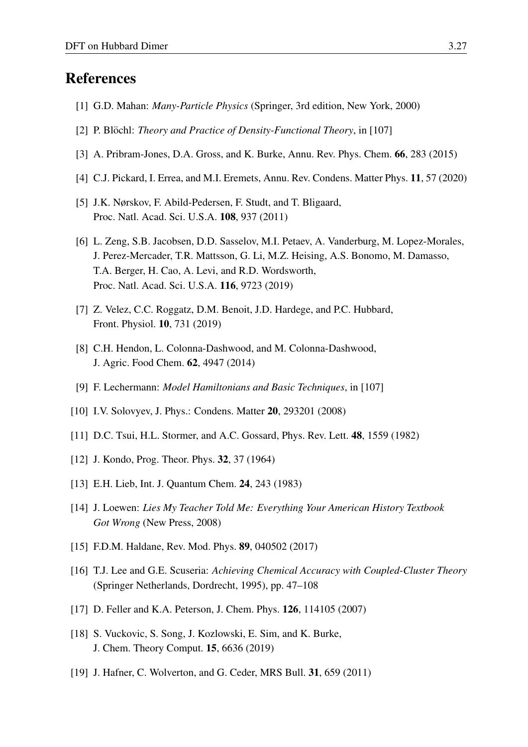### References

- <span id="page-26-0"></span>[1] G.D. Mahan: *Many-Particle Physics* (Springer, 3rd edition, New York, 2000)
- <span id="page-26-1"></span>[2] P. Blöchl: *Theory and Practice of Density-Functional Theory*, in [\[107\]](#page-31-0)
- <span id="page-26-2"></span>[3] A. Pribram-Jones, D.A. Gross, and K. Burke, Annu. Rev. Phys. Chem. 66, 283 (2015)
- <span id="page-26-3"></span>[4] C.J. Pickard, I. Errea, and M.I. Eremets, Annu. Rev. Condens. Matter Phys. 11, 57 (2020)
- <span id="page-26-4"></span>[5] J.K. Nørskov, F. Abild-Pedersen, F. Studt, and T. Bligaard, Proc. Natl. Acad. Sci. U.S.A. 108, 937 (2011)
- <span id="page-26-5"></span>[6] L. Zeng, S.B. Jacobsen, D.D. Sasselov, M.I. Petaev, A. Vanderburg, M. Lopez-Morales, J. Perez-Mercader, T.R. Mattsson, G. Li, M.Z. Heising, A.S. Bonomo, M. Damasso, T.A. Berger, H. Cao, A. Levi, and R.D. Wordsworth, Proc. Natl. Acad. Sci. U.S.A. 116, 9723 (2019)
- <span id="page-26-6"></span>[7] Z. Velez, C.C. Roggatz, D.M. Benoit, J.D. Hardege, and P.C. Hubbard, Front. Physiol. 10, 731 (2019)
- <span id="page-26-7"></span>[8] C.H. Hendon, L. Colonna-Dashwood, and M. Colonna-Dashwood, J. Agric. Food Chem. 62, 4947 (2014)
- <span id="page-26-8"></span>[9] F. Lechermann: *Model Hamiltonians and Basic Techniques*, in [\[107\]](#page-31-0)
- <span id="page-26-9"></span>[10] I.V. Solovyev, J. Phys.: Condens. Matter **20**, 293201 (2008)
- <span id="page-26-10"></span>[11] D.C. Tsui, H.L. Stormer, and A.C. Gossard, Phys. Rev. Lett. 48, 1559 (1982)
- <span id="page-26-11"></span>[12] J. Kondo, Prog. Theor. Phys. 32, 37 (1964)
- <span id="page-26-12"></span>[13] E.H. Lieb, Int. J. Quantum Chem. **24**, 243 (1983)
- <span id="page-26-13"></span>[14] J. Loewen: *Lies My Teacher Told Me: Everything Your American History Textbook Got Wrong* (New Press, 2008)
- <span id="page-26-14"></span>[15] F.D.M. Haldane, Rev. Mod. Phys. 89, 040502 (2017)
- <span id="page-26-15"></span>[16] T.J. Lee and G.E. Scuseria: *Achieving Chemical Accuracy with Coupled-Cluster Theory* (Springer Netherlands, Dordrecht, 1995), pp. 47–108
- [17] D. Feller and K.A. Peterson, J. Chem. Phys. **126**, 114105 (2007)
- <span id="page-26-16"></span>[18] S. Vuckovic, S. Song, J. Kozlowski, E. Sim, and K. Burke, J. Chem. Theory Comput. 15, 6636 (2019)
- <span id="page-26-17"></span>[19] J. Hafner, C. Wolverton, and G. Ceder, MRS Bull. **31**, 659 (2011)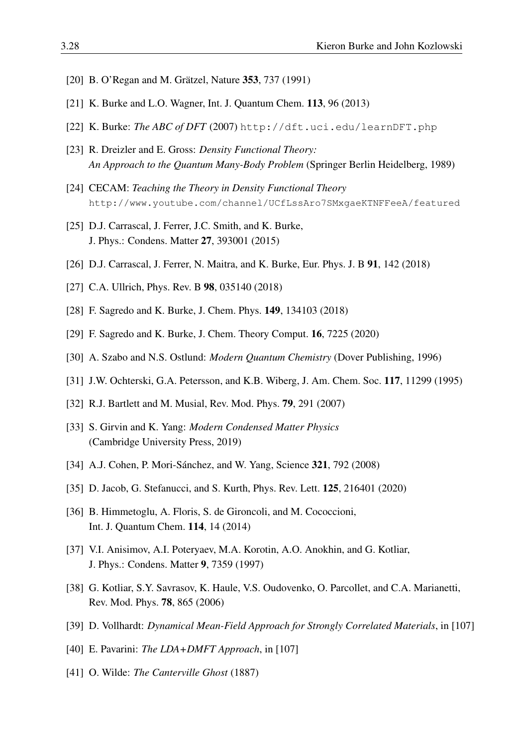- <span id="page-27-0"></span>[20] B. O'Regan and M. Grätzel, Nature 353, 737 (1991)
- <span id="page-27-1"></span>[21] K. Burke and L.O. Wagner, Int. J. Quantum Chem. 113, 96 (2013)
- <span id="page-27-2"></span>[22] K. Burke: *The ABC of DFT* (2007) <http://dft.uci.edu/learnDFT.php>
- <span id="page-27-3"></span>[23] R. Dreizler and E. Gross: *Density Functional Theory: An Approach to the Quantum Many-Body Problem* (Springer Berlin Heidelberg, 1989)
- <span id="page-27-4"></span>[24] CECAM: *Teaching the Theory in Density Functional Theory* <http://www.youtube.com/channel/UCfLssAro7SMxgaeKTNFFeeA/featured>
- <span id="page-27-5"></span>[25] D.J. Carrascal, J. Ferrer, J.C. Smith, and K. Burke, J. Phys.: Condens. Matter 27, 393001 (2015)
- <span id="page-27-6"></span>[26] D.J. Carrascal, J. Ferrer, N. Maitra, and K. Burke, Eur. Phys. J. B 91, 142 (2018)
- <span id="page-27-7"></span>[27] C.A. Ullrich, Phys. Rev. B 98, 035140 (2018)
- <span id="page-27-8"></span>[28] F. Sagredo and K. Burke, J. Chem. Phys. 149, 134103 (2018)
- <span id="page-27-9"></span>[29] F. Sagredo and K. Burke, J. Chem. Theory Comput. 16, 7225 (2020)
- <span id="page-27-10"></span>[30] A. Szabo and N.S. Ostlund: *Modern Quantum Chemistry* (Dover Publishing, 1996)
- <span id="page-27-11"></span>[31] J.W. Ochterski, G.A. Petersson, and K.B. Wiberg, J. Am. Chem. Soc. 117, 11299 (1995)
- <span id="page-27-12"></span>[32] R.J. Bartlett and M. Musial, Rev. Mod. Phys. **79**, 291 (2007)
- <span id="page-27-13"></span>[33] S. Girvin and K. Yang: *Modern Condensed Matter Physics* (Cambridge University Press, 2019)
- <span id="page-27-14"></span>[34] A.J. Cohen, P. Mori-Sánchez, and W. Yang, Science **321**, 792 (2008)
- <span id="page-27-15"></span>[35] D. Jacob, G. Stefanucci, and S. Kurth, Phys. Rev. Lett. **125**, 216401 (2020)
- <span id="page-27-16"></span>[36] B. Himmetoglu, A. Floris, S. de Gironcoli, and M. Cococcioni, Int. J. Quantum Chem. 114, 14 (2014)
- <span id="page-27-17"></span>[37] V.I. Anisimov, A.I. Poteryaev, M.A. Korotin, A.O. Anokhin, and G. Kotliar, J. Phys.: Condens. Matter 9, 7359 (1997)
- [38] G. Kotliar, S.Y. Savrasov, K. Haule, V.S. Oudovenko, O. Parcollet, and C.A. Marianetti, Rev. Mod. Phys. 78, 865 (2006)
- [39] D. Vollhardt: *Dynamical Mean-Field Approach for Strongly Correlated Materials*, in [\[107\]](#page-31-0)
- <span id="page-27-18"></span>[40] E. Pavarini: *The LDA+DMFT Approach*, in [\[107\]](#page-31-0)
- <span id="page-27-19"></span>[41] O. Wilde: *The Canterville Ghost* (1887)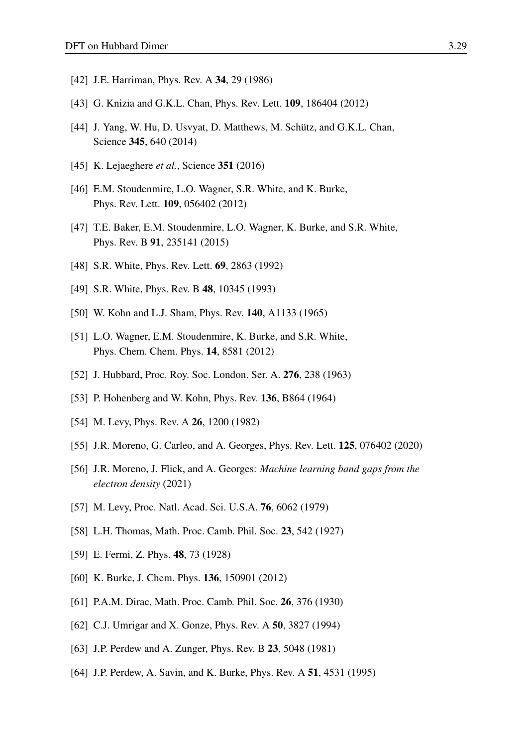- <span id="page-28-0"></span>[42] J.E. Harriman, Phys. Rev. A 34, 29 (1986)
- <span id="page-28-1"></span>[43] G. Knizia and G.K.L. Chan, Phys. Rev. Lett. **109**, 186404 (2012)
- <span id="page-28-2"></span>[44] J. Yang, W. Hu, D. Usvyat, D. Matthews, M. Schütz, and G.K.L. Chan, Science 345, 640 (2014)
- <span id="page-28-3"></span>[45] K. Lejaeghere *et al.*, Science 351 (2016)
- <span id="page-28-4"></span>[46] E.M. Stoudenmire, L.O. Wagner, S.R. White, and K. Burke, Phys. Rev. Lett. 109, 056402 (2012)
- <span id="page-28-5"></span>[47] T.E. Baker, E.M. Stoudenmire, L.O. Wagner, K. Burke, and S.R. White, Phys. Rev. B 91, 235141 (2015)
- <span id="page-28-6"></span>[48] S.R. White, Phys. Rev. Lett. **69**, 2863 (1992)
- <span id="page-28-7"></span>[49] S.R. White, Phys. Rev. B 48, 10345 (1993)
- <span id="page-28-8"></span>[50] W. Kohn and L.J. Sham, Phys. Rev. **140**, A1133 (1965)
- <span id="page-28-9"></span>[51] L.O. Wagner, E.M. Stoudenmire, K. Burke, and S.R. White, Phys. Chem. Chem. Phys. 14, 8581 (2012)
- <span id="page-28-10"></span>[52] J. Hubbard, Proc. Roy. Soc. London. Ser. A. 276, 238 (1963)
- <span id="page-28-11"></span>[53] P. Hohenberg and W. Kohn, Phys. Rev. **136**, B864 (1964)
- <span id="page-28-12"></span>[54] M. Levy, Phys. Rev. A **26**, 1200 (1982)
- <span id="page-28-13"></span>[55] J.R. Moreno, G. Carleo, and A. Georges, Phys. Rev. Lett. 125, 076402 (2020)
- <span id="page-28-14"></span>[56] J.R. Moreno, J. Flick, and A. Georges: *Machine learning band gaps from the electron density* (2021)
- <span id="page-28-15"></span>[57] M. Levy, Proc. Natl. Acad. Sci. U.S.A. **76**, 6062 (1979)
- <span id="page-28-16"></span>[58] L.H. Thomas, Math. Proc. Camb. Phil. Soc. 23, 542 (1927)
- <span id="page-28-17"></span>[59] E. Fermi, Z. Phys. 48, 73 (1928)
- <span id="page-28-18"></span>[60] K. Burke, J. Chem. Phys. **136**, 150901 (2012)
- <span id="page-28-19"></span>[61] P.A.M. Dirac, Math. Proc. Camb. Phil. Soc. 26, 376 (1930)
- <span id="page-28-20"></span>[62] C.J. Umrigar and X. Gonze, Phys. Rev. A **50**, 3827 (1994)
- <span id="page-28-21"></span>[63] J.P. Perdew and A. Zunger, Phys. Rev. B 23, 5048 (1981)
- <span id="page-28-22"></span>[64] J.P. Perdew, A. Savin, and K. Burke, Phys. Rev. A 51, 4531 (1995)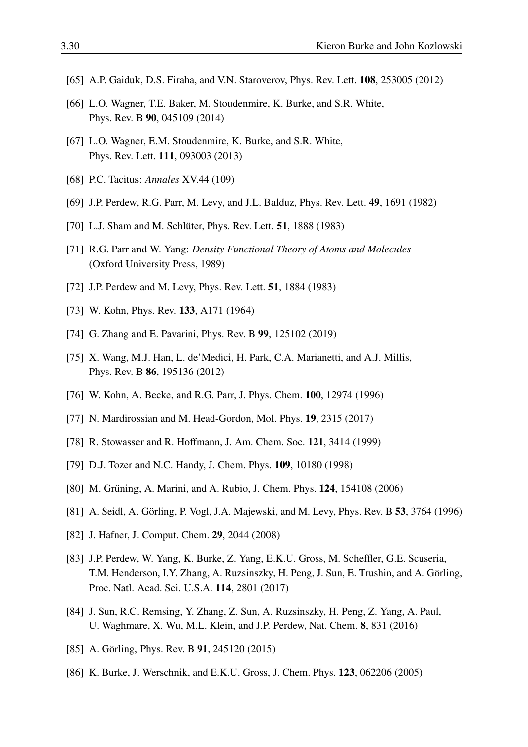- <span id="page-29-0"></span>[65] A.P. Gaiduk, D.S. Firaha, and V.N. Staroverov, Phys. Rev. Lett. 108, 253005 (2012)
- <span id="page-29-1"></span>[66] L.O. Wagner, T.E. Baker, M. Stoudenmire, K. Burke, and S.R. White, Phys. Rev. B 90, 045109 (2014)
- <span id="page-29-2"></span>[67] L.O. Wagner, E.M. Stoudenmire, K. Burke, and S.R. White, Phys. Rev. Lett. 111, 093003 (2013)
- <span id="page-29-3"></span>[68] P.C. Tacitus: *Annales* XV.44 (109)
- <span id="page-29-4"></span>[69] J.P. Perdew, R.G. Parr, M. Levy, and J.L. Balduz, Phys. Rev. Lett. 49, 1691 (1982)
- <span id="page-29-5"></span>[70] L.J. Sham and M. Schlüter, Phys. Rev. Lett. **51**, 1888 (1983)
- <span id="page-29-6"></span>[71] R.G. Parr and W. Yang: *Density Functional Theory of Atoms and Molecules* (Oxford University Press, 1989)
- <span id="page-29-7"></span>[72] J.P. Perdew and M. Levy, Phys. Rev. Lett. **51**, 1884 (1983)
- <span id="page-29-8"></span>[73] W. Kohn, Phys. Rev. 133, A171 (1964)
- <span id="page-29-9"></span>[74] G. Zhang and E. Pavarini, Phys. Rev. B 99, 125102 (2019)
- <span id="page-29-10"></span>[75] X. Wang, M.J. Han, L. de'Medici, H. Park, C.A. Marianetti, and A.J. Millis, Phys. Rev. B 86, 195136 (2012)
- <span id="page-29-11"></span>[76] W. Kohn, A. Becke, and R.G. Parr, J. Phys. Chem. 100, 12974 (1996)
- <span id="page-29-12"></span>[77] N. Mardirossian and M. Head-Gordon, Mol. Phys. **19**, 2315 (2017)
- <span id="page-29-13"></span>[78] R. Stowasser and R. Hoffmann, J. Am. Chem. Soc. 121, 3414 (1999)
- <span id="page-29-14"></span>[79] D.J. Tozer and N.C. Handy, J. Chem. Phys. **109**, 10180 (1998)
- <span id="page-29-15"></span>[80] M. Grüning, A. Marini, and A. Rubio, J. Chem. Phys. 124, 154108 (2006)
- <span id="page-29-16"></span>[81] A. Seidl, A. Görling, P. Vogl, J.A. Majewski, and M. Levy, Phys. Rev. B 53, 3764 (1996)
- <span id="page-29-17"></span>[82] J. Hafner, J. Comput. Chem. 29, 2044 (2008)
- <span id="page-29-18"></span>[83] J.P. Perdew, W. Yang, K. Burke, Z. Yang, E.K.U. Gross, M. Scheffler, G.E. Scuseria, T.M. Henderson, I.Y. Zhang, A. Ruzsinszky, H. Peng, J. Sun, E. Trushin, and A. Görling, Proc. Natl. Acad. Sci. U.S.A. 114, 2801 (2017)
- <span id="page-29-19"></span>[84] J. Sun, R.C. Remsing, Y. Zhang, Z. Sun, A. Ruzsinszky, H. Peng, Z. Yang, A. Paul, U. Waghmare, X. Wu, M.L. Klein, and J.P. Perdew, Nat. Chem. 8, 831 (2016)
- <span id="page-29-20"></span>[85] A. Görling, Phys. Rev. B  $91, 245120 (2015)$
- <span id="page-29-21"></span>[86] K. Burke, J. Werschnik, and E.K.U. Gross, J. Chem. Phys. 123, 062206 (2005)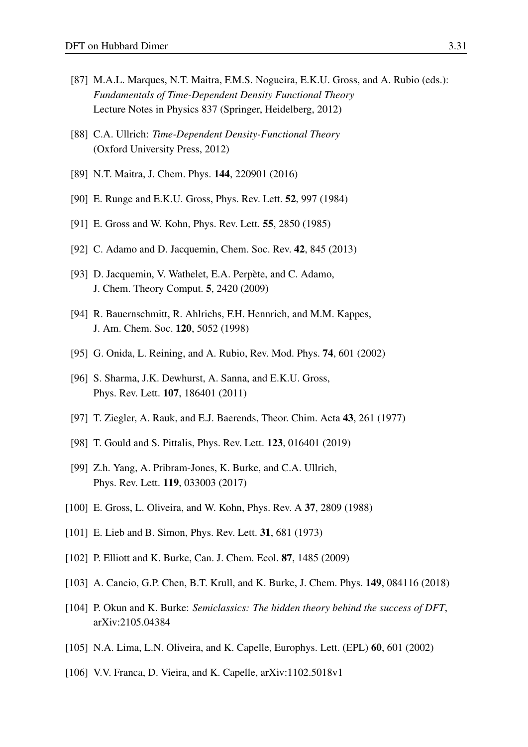- [87] M.A.L. Marques, N.T. Maitra, F.M.S. Nogueira, E.K.U. Gross, and A. Rubio (eds.): *Fundamentals of Time-Dependent Density Functional Theory* Lecture Notes in Physics 837 (Springer, Heidelberg, 2012)
- [88] C.A. Ullrich: *Time-Dependent Density-Functional Theory* (Oxford University Press, 2012)
- <span id="page-30-0"></span>[89] N.T. Maitra, J. Chem. Phys. 144, 220901 (2016)
- <span id="page-30-1"></span>[90] E. Runge and E.K.U. Gross, Phys. Rev. Lett. 52, 997 (1984)
- <span id="page-30-2"></span>[91] E. Gross and W. Kohn, Phys. Rev. Lett. **55**, 2850 (1985)
- <span id="page-30-3"></span>[92] C. Adamo and D. Jacquemin, Chem. Soc. Rev. 42, 845 (2013)
- <span id="page-30-4"></span>[93] D. Jacquemin, V. Wathelet, E.A. Perpète, and C. Adamo, J. Chem. Theory Comput. 5, 2420 (2009)
- <span id="page-30-5"></span>[94] R. Bauernschmitt, R. Ahlrichs, F.H. Hennrich, and M.M. Kappes, J. Am. Chem. Soc. 120, 5052 (1998)
- <span id="page-30-6"></span>[95] G. Onida, L. Reining, and A. Rubio, Rev. Mod. Phys. 74, 601 (2002)
- <span id="page-30-7"></span>[96] S. Sharma, J.K. Dewhurst, A. Sanna, and E.K.U. Gross, Phys. Rev. Lett. 107, 186401 (2011)
- <span id="page-30-8"></span>[97] T. Ziegler, A. Rauk, and E.J. Baerends, Theor. Chim. Acta 43, 261 (1977)
- <span id="page-30-9"></span>[98] T. Gould and S. Pittalis, Phys. Rev. Lett. 123, 016401 (2019)
- <span id="page-30-10"></span>[99] Z.h. Yang, A. Pribram-Jones, K. Burke, and C.A. Ullrich, Phys. Rev. Lett. 119, 033003 (2017)
- <span id="page-30-11"></span>[100] E. Gross, L. Oliveira, and W. Kohn, Phys. Rev. A 37, 2809 (1988)
- <span id="page-30-12"></span>[101] E. Lieb and B. Simon, Phys. Rev. Lett. **31**, 681 (1973)
- <span id="page-30-14"></span>[102] P. Elliott and K. Burke, Can. J. Chem. Ecol. 87, 1485 (2009)
- [103] A. Cancio, G.P. Chen, B.T. Krull, and K. Burke, J. Chem. Phys. 149, 084116 (2018)
- <span id="page-30-13"></span>[104] P. Okun and K. Burke: *Semiclassics: The hidden theory behind the success of DFT*, arXiv:2105.04384
- <span id="page-30-15"></span>[105] N.A. Lima, L.N. Oliveira, and K. Capelle, Europhys. Lett. (EPL) 60, 601 (2002)
- <span id="page-30-16"></span>[106] V.V. Franca, D. Vieira, and K. Capelle, arXiv:1102.5018v1